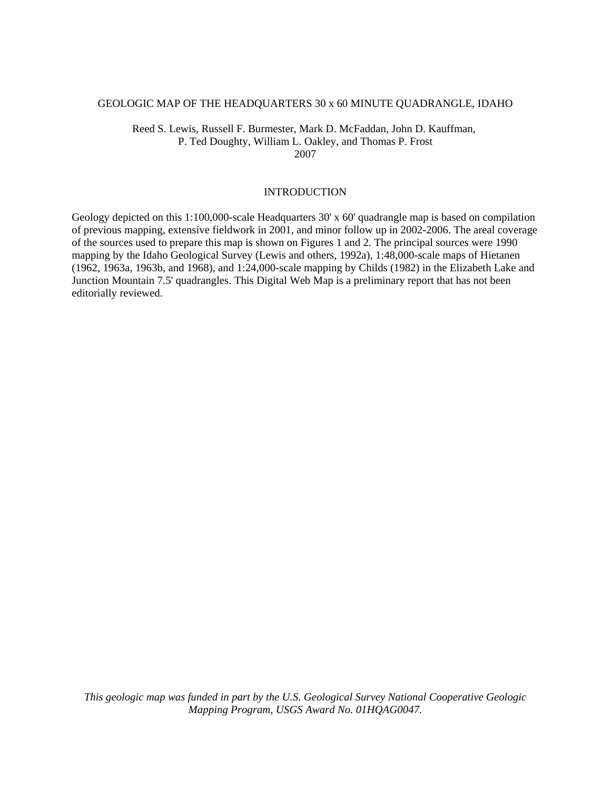#### GEOLOGIC MAP OF THE HEADQUARTERS 30 x 60 MINUTE QUADRANGLE, IDAHO

Reed S. Lewis, Russell F. Burmester, Mark D. McFaddan, John D. Kauffman, P. Ted Doughty, William L. Oakley, and Thomas P. Frost 2007

#### INTRODUCTION

Geology depicted on this 1:100,000-scale Headquarters 30' x 60' quadrangle map is based on compilation of previous mapping, extensive fieldwork in 2001, and minor follow up in 2002-2006. The areal coverage of the sources used to prepare this map is shown on Figures 1 and 2. The principal sources were 1990 mapping by the Idaho Geological Survey (Lewis and others, 1992a), 1:48,000-scale maps of Hietanen (1962, 1963a, 1963b, and 1968), and 1:24,000-scale mapping by Childs (1982) in the Elizabeth Lake and Junction Mountain 7.5' quadrangles. This Digital Web Map is a preliminary report that has not been editorially reviewed.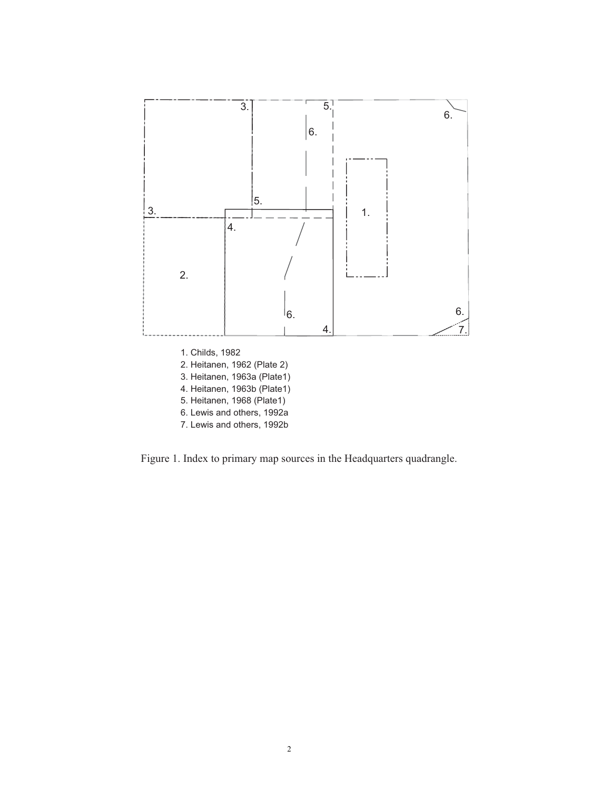

Figure 1. Index to primary map sources in the Headquarters quadrangle.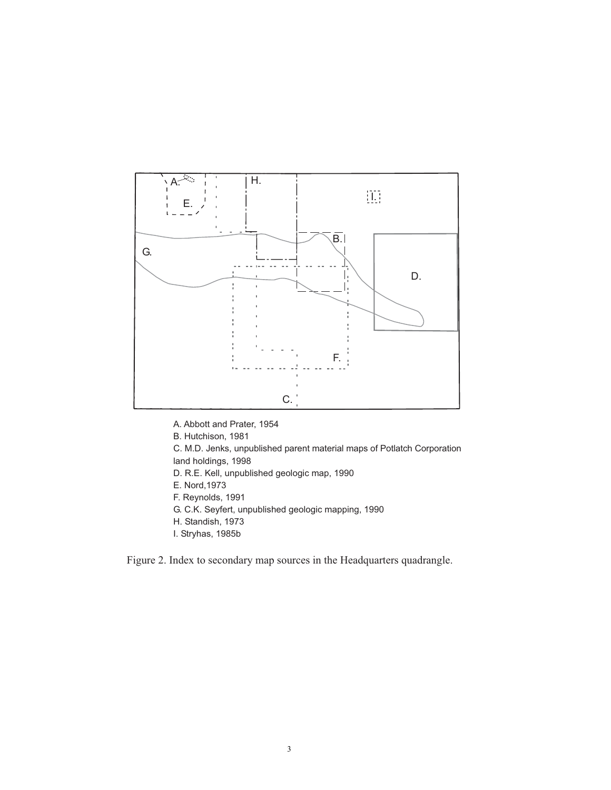

- A. Abbott and Prater, 1954
- B. Hutchison, 1981
- C. M.D. Jenks, unpublished parent material maps of Potlatch Corporation land holdings, 1998
- D. R.E. Kell, unpublished geologic map, 1990
- E. Nord, 1973
- F. Reynolds, 1991
- G. C.K. Seyfert, unpublished geologic mapping, 1990
- H. Standish, 1973
- I. Stryhas, 1985b

Figure 2. Index to secondary map sources in the Headquarters quadrangle.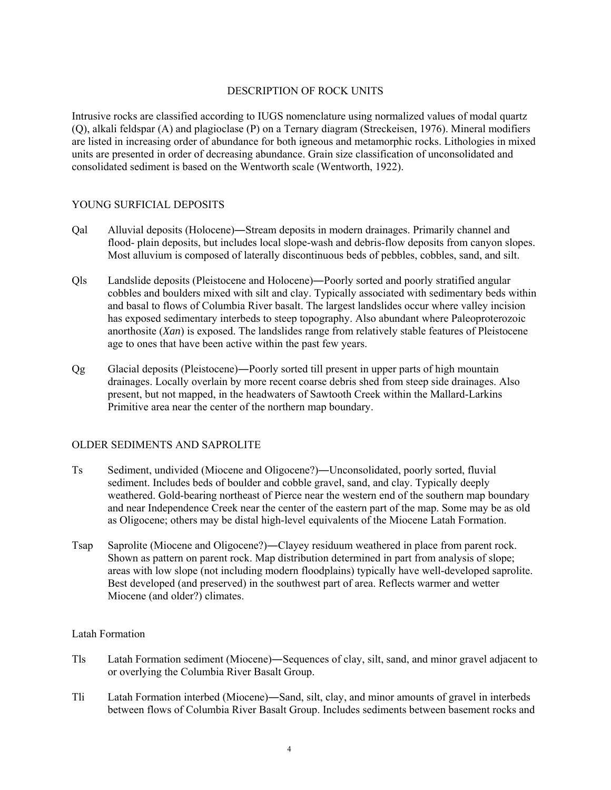# DESCRIPTION OF ROCK UNITS

Intrusive rocks are classified according to IUGS nomenclature using normalized values of modal quartz (Q), alkali feldspar (A) and plagioclase (P) on a Ternary diagram (Streckeisen, 1976). Mineral modifiers are listed in increasing order of abundance for both igneous and metamorphic rocks. Lithologies in mixed units are presented in order of decreasing abundance. Grain size classification of unconsolidated and consolidated sediment is based on the Wentworth scale (Wentworth, 1922).

#### YOUNG SURFICIAL DEPOSITS

- Qal Alluvial deposits (Holocene)―Stream deposits in modern drainages. Primarily channel and flood- plain deposits, but includes local slope-wash and debris-flow deposits from canyon slopes. Most alluvium is composed of laterally discontinuous beds of pebbles, cobbles, sand, and silt.
- Qls Landslide deposits (Pleistocene and Holocene)―Poorly sorted and poorly stratified angular cobbles and boulders mixed with silt and clay. Typically associated with sedimentary beds within and basal to flows of Columbia River basalt. The largest landslides occur where valley incision has exposed sedimentary interbeds to steep topography. Also abundant where Paleoproterozoic anorthosite (*Xan*) is exposed. The landslides range from relatively stable features of Pleistocene age to ones that have been active within the past few years.
- Qg Glacial deposits (Pleistocene)―Poorly sorted till present in upper parts of high mountain drainages. Locally overlain by more recent coarse debris shed from steep side drainages. Also present, but not mapped, in the headwaters of Sawtooth Creek within the Mallard-Larkins Primitive area near the center of the northern map boundary.

# OLDER SEDIMENTS AND SAPROLITE

- Ts Sediment, undivided (Miocene and Oligocene?)―Unconsolidated, poorly sorted, fluvial sediment. Includes beds of boulder and cobble gravel, sand, and clay. Typically deeply weathered. Gold-bearing northeast of Pierce near the western end of the southern map boundary and near Independence Creek near the center of the eastern part of the map. Some may be as old as Oligocene; others may be distal high-level equivalents of the Miocene Latah Formation.
- Tsap Saprolite (Miocene and Oligocene?)―Clayey residuum weathered in place from parent rock. Shown as pattern on parent rock. Map distribution determined in part from analysis of slope; areas with low slope (not including modern floodplains) typically have well-developed saprolite. Best developed (and preserved) in the southwest part of area. Reflects warmer and wetter Miocene (and older?) climates.

#### Latah Formation

- Tls Latah Formation sediment (Miocene)―Sequences of clay, silt, sand, and minor gravel adjacent to or overlying the Columbia River Basalt Group.
- Tli Latah Formation interbed (Miocene)―Sand, silt, clay, and minor amounts of gravel in interbeds between flows of Columbia River Basalt Group. Includes sediments between basement rocks and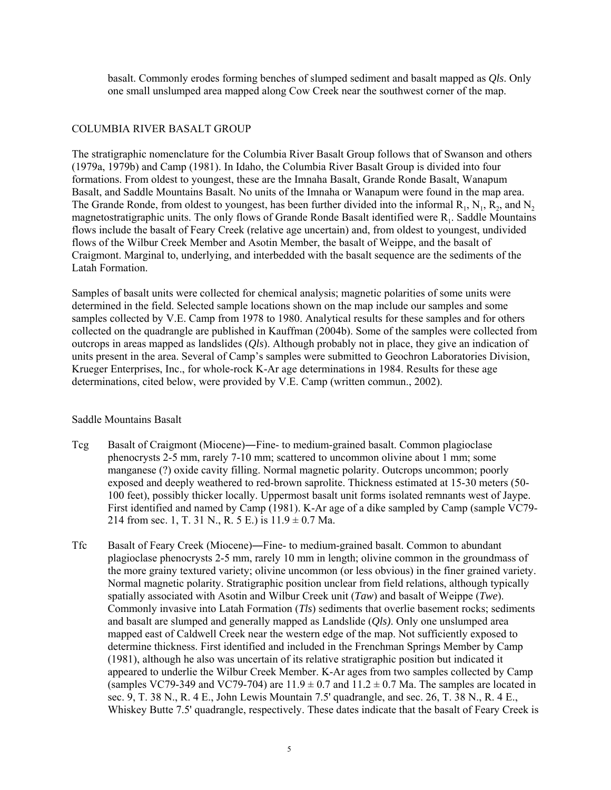basalt. Commonly erodes forming benches of slumped sediment and basalt mapped as *Qls*. Only one small unslumped area mapped along Cow Creek near the southwest corner of the map.

#### COLUMBIA RIVER BASALT GROUP

The stratigraphic nomenclature for the Columbia River Basalt Group follows that of Swanson and others (1979a, 1979b) and Camp (1981). In Idaho, the Columbia River Basalt Group is divided into four formations. From oldest to youngest, these are the Imnaha Basalt, Grande Ronde Basalt, Wanapum Basalt, and Saddle Mountains Basalt. No units of the Imnaha or Wanapum were found in the map area. The Grande Ronde, from oldest to youngest, has been further divided into the informal  $R_1$ ,  $N_1$ ,  $R_2$ , and  $N_2$ magnetostratigraphic units. The only flows of Grande Ronde Basalt identified were  $R_1$ . Saddle Mountains flows include the basalt of Feary Creek (relative age uncertain) and, from oldest to youngest, undivided flows of the Wilbur Creek Member and Asotin Member, the basalt of Weippe, and the basalt of Craigmont. Marginal to, underlying, and interbedded with the basalt sequence are the sediments of the Latah Formation.

Samples of basalt units were collected for chemical analysis; magnetic polarities of some units were determined in the field. Selected sample locations shown on the map include our samples and some samples collected by V.E. Camp from 1978 to 1980. Analytical results for these samples and for others collected on the quadrangle are published in Kauffman (2004b). Some of the samples were collected from outcrops in areas mapped as landslides (*Qls*). Although probably not in place, they give an indication of units present in the area. Several of Camp's samples were submitted to Geochron Laboratories Division, Krueger Enterprises, Inc., for whole-rock K-Ar age determinations in 1984. Results for these age determinations, cited below, were provided by V.E. Camp (written commun., 2002).

#### Saddle Mountains Basalt

- Tcg Basalt of Craigmont (Miocene)―Fine- to medium-grained basalt. Common plagioclase phenocrysts 2-5 mm, rarely 7-10 mm; scattered to uncommon olivine about 1 mm; some manganese (?) oxide cavity filling. Normal magnetic polarity. Outcrops uncommon; poorly exposed and deeply weathered to red-brown saprolite. Thickness estimated at 15-30 meters (50- 100 feet), possibly thicker locally. Uppermost basalt unit forms isolated remnants west of Jaype. First identified and named by Camp (1981). K-Ar age of a dike sampled by Camp (sample VC79- 214 from sec. 1, T. 31 N., R. 5 E.) is  $11.9 \pm 0.7$  Ma.
- Tfc Basalt of Feary Creek (Miocene)―Fine- to medium-grained basalt. Common to abundant plagioclase phenocrysts 2-5 mm, rarely 10 mm in length; olivine common in the groundmass of the more grainy textured variety; olivine uncommon (or less obvious) in the finer grained variety. Normal magnetic polarity. Stratigraphic position unclear from field relations, although typically spatially associated with Asotin and Wilbur Creek unit (*Taw*) and basalt of Weippe (*Twe*). Commonly invasive into Latah Formation (*Tls*) sediments that overlie basement rocks; sediments and basalt are slumped and generally mapped as Landslide (*Qls)*. Only one unslumped area mapped east of Caldwell Creek near the western edge of the map. Not sufficiently exposed to determine thickness. First identified and included in the Frenchman Springs Member by Camp (1981), although he also was uncertain of its relative stratigraphic position but indicated it appeared to underlie the Wilbur Creek Member. K-Ar ages from two samples collected by Camp (samples VC79-349 and VC79-704) are  $11.9 \pm 0.7$  and  $11.2 \pm 0.7$  Ma. The samples are located in sec. 9, T. 38 N., R. 4 E., John Lewis Mountain 7.5' quadrangle, and sec. 26, T. 38 N., R. 4 E., Whiskey Butte 7.5' quadrangle, respectively. These dates indicate that the basalt of Feary Creek is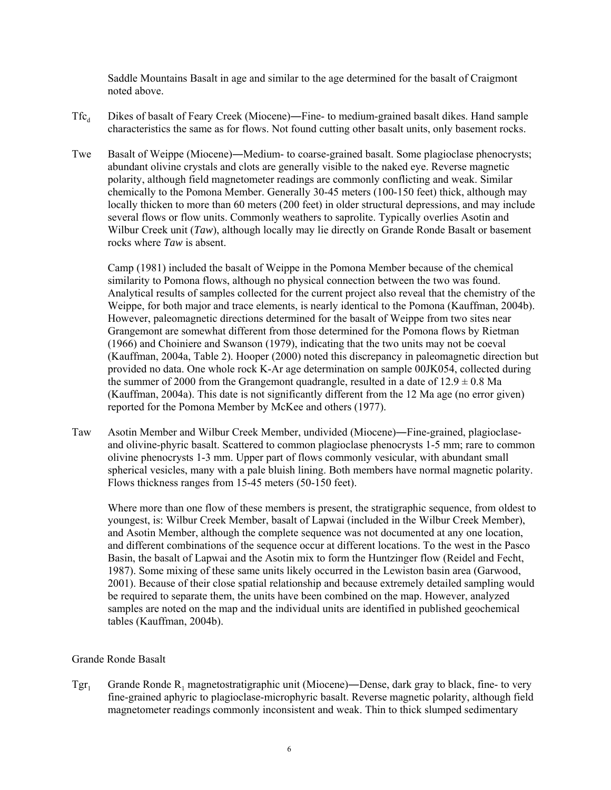Saddle Mountains Basalt in age and similar to the age determined for the basalt of Craigmont noted above.

- $Tfc_d$  Dikes of basalt of Feary Creek (Miocene)—Fine- to medium-grained basalt dikes. Hand sample characteristics the same as for flows. Not found cutting other basalt units, only basement rocks.
- Twe Basalt of Weippe (Miocene)—Medium- to coarse-grained basalt. Some plagioclase phenocrysts; abundant olivine crystals and clots are generally visible to the naked eye. Reverse magnetic polarity, although field magnetometer readings are commonly conflicting and weak. Similar chemically to the Pomona Member. Generally 30-45 meters (100-150 feet) thick, although may locally thicken to more than 60 meters (200 feet) in older structural depressions, and may include several flows or flow units. Commonly weathers to saprolite. Typically overlies Asotin and Wilbur Creek unit (*Taw*), although locally may lie directly on Grande Ronde Basalt or basement rocks where *Taw* is absent.

Camp (1981) included the basalt of Weippe in the Pomona Member because of the chemical similarity to Pomona flows, although no physical connection between the two was found. Analytical results of samples collected for the current project also reveal that the chemistry of the Weippe, for both major and trace elements, is nearly identical to the Pomona (Kauffman, 2004b). However, paleomagnetic directions determined for the basalt of Weippe from two sites near Grangemont are somewhat different from those determined for the Pomona flows by Rietman (1966) and Choiniere and Swanson (1979), indicating that the two units may not be coeval (Kauffman, 2004a, Table 2). Hooper (2000) noted this discrepancy in paleomagnetic direction but provided no data. One whole rock K-Ar age determination on sample 00JK054, collected during the summer of 2000 from the Grangemont quadrangle, resulted in a date of  $12.9 \pm 0.8$  Ma (Kauffman, 2004a). This date is not significantly different from the 12 Ma age (no error given) reported for the Pomona Member by McKee and others (1977).

Taw Asotin Member and Wilbur Creek Member, undivided (Miocene)―Fine-grained, plagioclaseand olivine-phyric basalt. Scattered to common plagioclase phenocrysts 1-5 mm; rare to common olivine phenocrysts 1-3 mm. Upper part of flows commonly vesicular, with abundant small spherical vesicles, many with a pale bluish lining. Both members have normal magnetic polarity. Flows thickness ranges from 15-45 meters (50-150 feet).

Where more than one flow of these members is present, the stratigraphic sequence, from oldest to youngest, is: Wilbur Creek Member, basalt of Lapwai (included in the Wilbur Creek Member), and Asotin Member, although the complete sequence was not documented at any one location, and different combinations of the sequence occur at different locations. To the west in the Pasco Basin, the basalt of Lapwai and the Asotin mix to form the Huntzinger flow (Reidel and Fecht, 1987). Some mixing of these same units likely occurred in the Lewiston basin area (Garwood, 2001). Because of their close spatial relationship and because extremely detailed sampling would be required to separate them, the units have been combined on the map. However, analyzed samples are noted on the map and the individual units are identified in published geochemical tables (Kauffman, 2004b).

# Grande Ronde Basalt

 $Tgr_1$  Grande Ronde R<sub>1</sub> magnetostratigraphic unit (Miocene)—Dense, dark gray to black, fine- to very fine-grained aphyric to plagioclase-microphyric basalt. Reverse magnetic polarity, although field magnetometer readings commonly inconsistent and weak. Thin to thick slumped sedimentary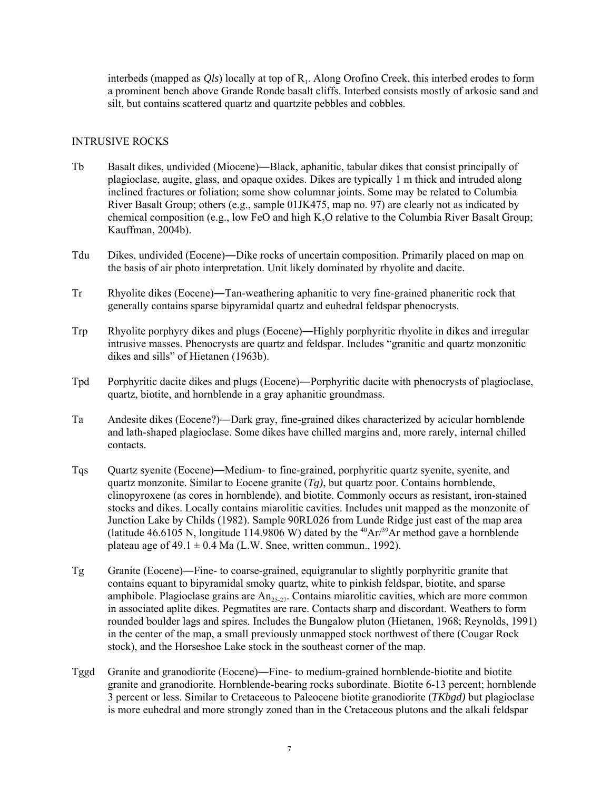interbeds (mapped as  $Qls$ ) locally at top of  $R<sub>1</sub>$ . Along Orofino Creek, this interbed erodes to form a prominent bench above Grande Ronde basalt cliffs. Interbed consists mostly of arkosic sand and silt, but contains scattered quartz and quartzite pebbles and cobbles.

#### INTRUSIVE ROCKS

- Tb Basalt dikes, undivided (Miocene)―Black, aphanitic, tabular dikes that consist principally of plagioclase, augite, glass, and opaque oxides. Dikes are typically 1 m thick and intruded along inclined fractures or foliation; some show columnar joints. Some may be related to Columbia River Basalt Group; others (e.g., sample 01JK475, map no. 97) are clearly not as indicated by chemical composition (e.g., low FeO and high  $K<sub>2</sub>O$  relative to the Columbia River Basalt Group; Kauffman, 2004b).
- Tdu Dikes, undivided (Eocene)―Dike rocks of uncertain composition. Primarily placed on map on the basis of air photo interpretation. Unit likely dominated by rhyolite and dacite.
- Tr Rhyolite dikes (Eocene)―Tan-weathering aphanitic to very fine-grained phaneritic rock that generally contains sparse bipyramidal quartz and euhedral feldspar phenocrysts.
- Trp Rhyolite porphyry dikes and plugs (Eocene)―Highly porphyritic rhyolite in dikes and irregular intrusive masses. Phenocrysts are quartz and feldspar. Includes "granitic and quartz monzonitic dikes and sills" of Hietanen (1963b).
- Tpd Porphyritic dacite dikes and plugs (Eocene)―Porphyritic dacite with phenocrysts of plagioclase, quartz, biotite, and hornblende in a gray aphanitic groundmass.
- Ta Andesite dikes (Eocene?)―Dark gray, fine-grained dikes characterized by acicular hornblende and lath-shaped plagioclase. Some dikes have chilled margins and, more rarely, internal chilled contacts.
- Tqs Quartz syenite (Eocene)―Medium- to fine-grained, porphyritic quartz syenite, syenite, and quartz monzonite. Similar to Eocene granite  $(Tg)$ , but quartz poor. Contains hornblende, clinopyroxene (as cores in hornblende), and biotite. Commonly occurs as resistant, iron-stained stocks and dikes. Locally contains miarolitic cavities. Includes unit mapped as the monzonite of Junction Lake by Childs (1982). Sample 90RL026 from Lunde Ridge just east of the map area (latitude 46.6105 N, longitude 114.9806 W) dated by the <sup>40</sup>Ar<sup>/39</sup>Ar method gave a hornblende plateau age of  $49.1 \pm 0.4$  Ma (L.W. Snee, written commun., 1992).
- Tg Granite (Eocene)―Fine- to coarse-grained, equigranular to slightly porphyritic granite that contains equant to bipyramidal smoky quartz, white to pinkish feldspar, biotite, and sparse amphibole. Plagioclase grains are  $An_{25-27}$ . Contains miarolitic cavities, which are more common in associated aplite dikes. Pegmatites are rare. Contacts sharp and discordant. Weathers to form rounded boulder lags and spires. Includes the Bungalow pluton (Hietanen, 1968; Reynolds, 1991) in the center of the map, a small previously unmapped stock northwest of there (Cougar Rock stock), and the Horseshoe Lake stock in the southeast corner of the map.
- Tggd Granite and granodiorite (Eocene)―Fine- to medium-grained hornblende-biotite and biotite granite and granodiorite. Hornblende-bearing rocks subordinate. Biotite 6-13 percent; hornblende 3 percent or less. Similar to Cretaceous to Paleocene biotite granodiorite (*TKbgd)* but plagioclase is more euhedral and more strongly zoned than in the Cretaceous plutons and the alkali feldspar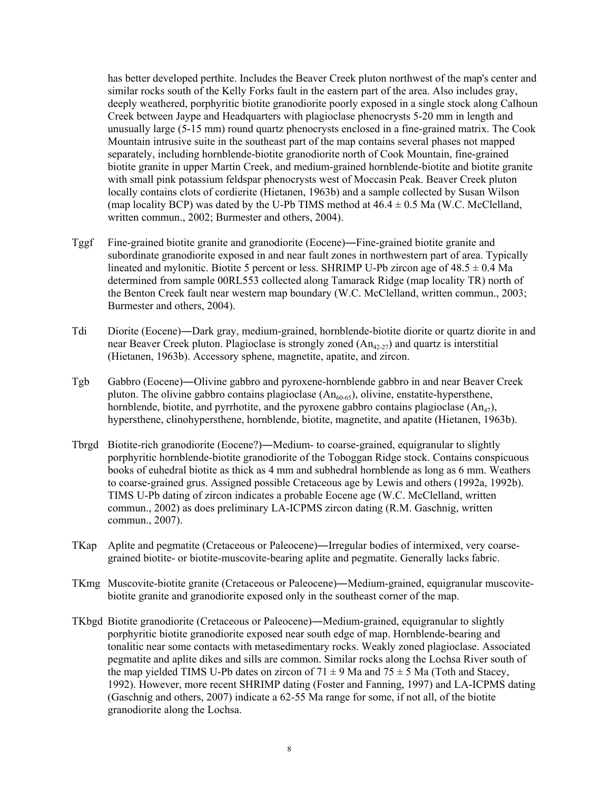has better developed perthite. Includes the Beaver Creek pluton northwest of the map's center and similar rocks south of the Kelly Forks fault in the eastern part of the area. Also includes gray, deeply weathered, porphyritic biotite granodiorite poorly exposed in a single stock along Calhoun Creek between Jaype and Headquarters with plagioclase phenocrysts 5-20 mm in length and unusually large (5-15 mm) round quartz phenocrysts enclosed in a fine-grained matrix. The Cook Mountain intrusive suite in the southeast part of the map contains several phases not mapped separately, including hornblende-biotite granodiorite north of Cook Mountain, fine-grained biotite granite in upper Martin Creek, and medium-grained hornblende-biotite and biotite granite with small pink potassium feldspar phenocrysts west of Moccasin Peak. Beaver Creek pluton locally contains clots of cordierite (Hietanen, 1963b) and a sample collected by Susan Wilson (map locality BCP) was dated by the U-Pb TIMS method at  $46.4 \pm 0.5$  Ma (W.C. McClelland, written commun., 2002; Burmester and others, 2004).

- Tggf Fine-grained biotite granite and granodiorite (Eocene)―Fine-grained biotite granite and subordinate granodiorite exposed in and near fault zones in northwestern part of area. Typically lineated and mylonitic. Biotite 5 percent or less. SHRIMP U-Pb zircon age of  $48.5 \pm 0.4$  Ma determined from sample 00RL553 collected along Tamarack Ridge (map locality TR) north of the Benton Creek fault near western map boundary (W.C. McClelland, written commun., 2003; Burmester and others, 2004).
- Tdi Diorite (Eocene)―Dark gray, medium-grained, hornblende-biotite diorite or quartz diorite in and near Beaver Creek pluton. Plagioclase is strongly zoned  $(An_{42,27})$  and quartz is interstitial (Hietanen, 1963b). Accessory sphene, magnetite, apatite, and zircon.
- Tgb Gabbro (Eocene)―Olivine gabbro and pyroxene-hornblende gabbro in and near Beaver Creek pluton. The olivine gabbro contains plagioclase  $(An_{60-65})$ , olivine, enstatite-hypersthene, hornblende, biotite, and pyrrhotite, and the pyroxene gabbro contains plagioclase  $(An_{47})$ , hypersthene, clinohypersthene, hornblende, biotite, magnetite, and apatite (Hietanen, 1963b).
- Tbrgd Biotite-rich granodiorite (Eocene?)―Medium- to coarse-grained, equigranular to slightly porphyritic hornblende-biotite granodiorite of the Toboggan Ridge stock. Contains conspicuous books of euhedral biotite as thick as 4 mm and subhedral hornblende as long as 6 mm. Weathers to coarse-grained grus. Assigned possible Cretaceous age by Lewis and others (1992a, 1992b). TIMS U-Pb dating of zircon indicates a probable Eocene age (W.C. McClelland, written commun., 2002) as does preliminary LA-ICPMS zircon dating (R.M. Gaschnig, written commun., 2007).
- TKap Aplite and pegmatite (Cretaceous or Paleocene)―Irregular bodies of intermixed, very coarsegrained biotite- or biotite-muscovite-bearing aplite and pegmatite. Generally lacks fabric.
- TKmg Muscovite-biotite granite (Cretaceous or Paleocene)―Medium-grained, equigranular muscovitebiotite granite and granodiorite exposed only in the southeast corner of the map.
- TKbgd Biotite granodiorite (Cretaceous or Paleocene)―Medium-grained, equigranular to slightly porphyritic biotite granodiorite exposed near south edge of map. Hornblende-bearing and tonalitic near some contacts with metasedimentary rocks. Weakly zoned plagioclase. Associated pegmatite and aplite dikes and sills are common. Similar rocks along the Lochsa River south of the map yielded TIMS U-Pb dates on zircon of  $71 \pm 9$  Ma and  $75 \pm 5$  Ma (Toth and Stacey, 1992). However, more recent SHRIMP dating (Foster and Fanning, 1997) and LA-ICPMS dating (Gaschnig and others, 2007) indicate a 62-55 Ma range for some, if not all, of the biotite granodiorite along the Lochsa.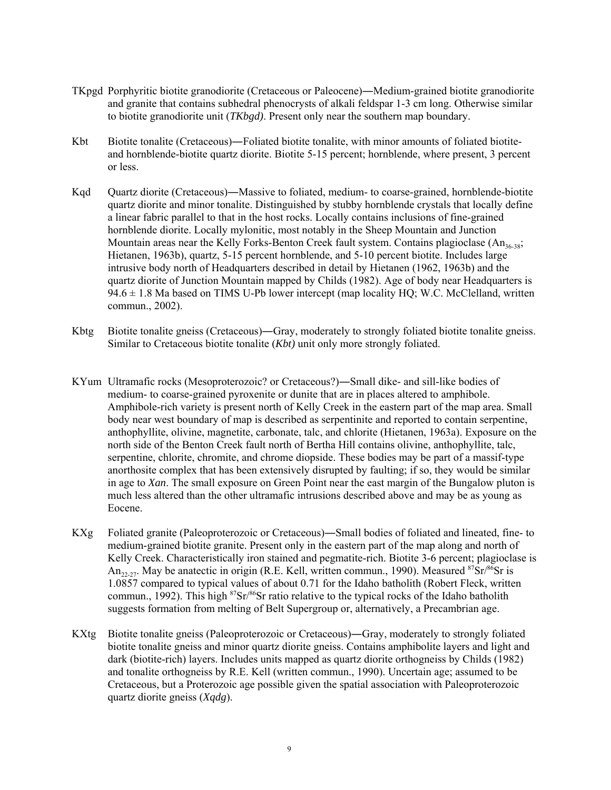- TKpgd Porphyritic biotite granodiorite (Cretaceous or Paleocene)―Medium-grained biotite granodiorite and granite that contains subhedral phenocrysts of alkali feldspar 1-3 cm long. Otherwise similar to biotite granodiorite unit (*TKbgd)*. Present only near the southern map boundary.
- Kbt Biotite tonalite (Cretaceous)—Foliated biotite tonalite, with minor amounts of foliated biotiteand hornblende-biotite quartz diorite. Biotite 5-15 percent; hornblende, where present, 3 percent or less.
- Kqd Quartz diorite (Cretaceous)—Massive to foliated, medium- to coarse-grained, hornblende-biotite quartz diorite and minor tonalite. Distinguished by stubby hornblende crystals that locally define a linear fabric parallel to that in the host rocks. Locally contains inclusions of fine-grained hornblende diorite. Locally mylonitic, most notably in the Sheep Mountain and Junction Mountain areas near the Kelly Forks-Benton Creek fault system. Contains plagioclase  $(An_{36-38};$ Hietanen, 1963b), quartz, 5-15 percent hornblende, and 5-10 percent biotite. Includes large intrusive body north of Headquarters described in detail by Hietanen (1962, 1963b) and the quartz diorite of Junction Mountain mapped by Childs (1982). Age of body near Headquarters is  $94.6 \pm 1.8$  Ma based on TIMS U-Pb lower intercept (map locality HQ; W.C. McClelland, written commun., 2002).
- Kbtg Biotite tonalite gneiss (Cretaceous)—Gray, moderately to strongly foliated biotite tonalite gneiss. Similar to Cretaceous biotite tonalite (*Kbt)* unit only more strongly foliated.
- KYum Ultramafic rocks (Mesoproterozoic? or Cretaceous?)―Small dike- and sill-like bodies of medium- to coarse-grained pyroxenite or dunite that are in places altered to amphibole. Amphibole-rich variety is present north of Kelly Creek in the eastern part of the map area. Small body near west boundary of map is described as serpentinite and reported to contain serpentine, anthophyllite, olivine, magnetite, carbonate, talc, and chlorite (Hietanen, 1963a). Exposure on the north side of the Benton Creek fault north of Bertha Hill contains olivine, anthophyllite, talc, serpentine, chlorite, chromite, and chrome diopside. These bodies may be part of a massif-type anorthosite complex that has been extensively disrupted by faulting; if so, they would be similar in age to *Xan*. The small exposure on Green Point near the east margin of the Bungalow pluton is much less altered than the other ultramafic intrusions described above and may be as young as Eocene.
- KXg Foliated granite (Paleoproterozoic or Cretaceous)―Small bodies of foliated and lineated, fine- to medium-grained biotite granite. Present only in the eastern part of the map along and north of Kelly Creek. Characteristically iron stained and pegmatite-rich. Biotite 3-6 percent; plagioclase is An<sub>22-27</sub>. May be anatectic in origin (R.E. Kell, written commun., 1990). Measured <sup>87</sup>Sr/<sup>86</sup>Sr is 1.0857 compared to typical values of about 0.71 for the Idaho batholith (Robert Fleck, written commun., 1992). This high  $87$ Sr $/86$ Sr ratio relative to the typical rocks of the Idaho batholith suggests formation from melting of Belt Supergroup or, alternatively, a Precambrian age.
- KXtg Biotite tonalite gneiss (Paleoproterozoic or Cretaceous)―Gray, moderately to strongly foliated biotite tonalite gneiss and minor quartz diorite gneiss. Contains amphibolite layers and light and dark (biotite-rich) layers. Includes units mapped as quartz diorite orthogneiss by Childs (1982) and tonalite orthogneiss by R.E. Kell (written commun., 1990). Uncertain age; assumed to be Cretaceous, but a Proterozoic age possible given the spatial association with Paleoproterozoic quartz diorite gneiss (*Xqdg*).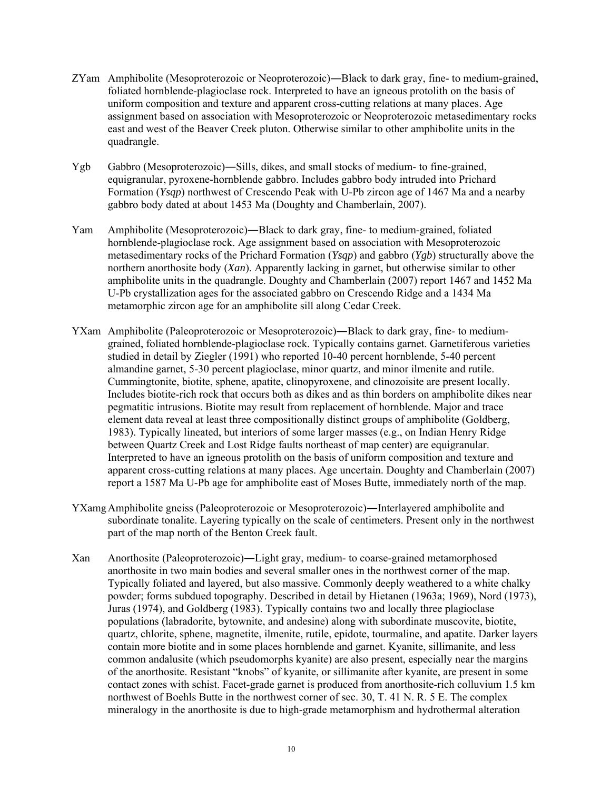- ZYam Amphibolite (Mesoproterozoic or Neoproterozoic)―Black to dark gray, fine- to medium-grained, foliated hornblende-plagioclase rock. Interpreted to have an igneous protolith on the basis of uniform composition and texture and apparent cross-cutting relations at many places. Age assignment based on association with Mesoproterozoic or Neoproterozoic metasedimentary rocks east and west of the Beaver Creek pluton. Otherwise similar to other amphibolite units in the quadrangle.
- Ygb Gabbro (Mesoproterozoic)―Sills, dikes, and small stocks of medium- to fine-grained, equigranular, pyroxene-hornblende gabbro. Includes gabbro body intruded into Prichard Formation (*Ysqp*) northwest of Crescendo Peak with U-Pb zircon age of 1467 Ma and a nearby gabbro body dated at about 1453 Ma (Doughty and Chamberlain, 2007).
- Yam Amphibolite (Mesoproterozoic)―Black to dark gray, fine- to medium-grained, foliated hornblende-plagioclase rock. Age assignment based on association with Mesoproterozoic metasedimentary rocks of the Prichard Formation (*Ysqp*) and gabbro (*Ygb*) structurally above the northern anorthosite body (*Xan*). Apparently lacking in garnet, but otherwise similar to other amphibolite units in the quadrangle. Doughty and Chamberlain (2007) report 1467 and 1452 Ma U-Pb crystallization ages for the associated gabbro on Crescendo Ridge and a 1434 Ma metamorphic zircon age for an amphibolite sill along Cedar Creek.
- YXam Amphibolite (Paleoproterozoic or Mesoproterozoic)―Black to dark gray, fine- to mediumgrained, foliated hornblende-plagioclase rock. Typically contains garnet. Garnetiferous varieties studied in detail by Ziegler (1991) who reported 10-40 percent hornblende, 5-40 percent almandine garnet, 5-30 percent plagioclase, minor quartz, and minor ilmenite and rutile. Cummingtonite, biotite, sphene, apatite, clinopyroxene, and clinozoisite are present locally. Includes biotite-rich rock that occurs both as dikes and as thin borders on amphibolite dikes near pegmatitic intrusions. Biotite may result from replacement of hornblende. Major and trace element data reveal at least three compositionally distinct groups of amphibolite (Goldberg, 1983). Typically lineated, but interiors of some larger masses (e.g., on Indian Henry Ridge between Quartz Creek and Lost Ridge faults northeast of map center) are equigranular. Interpreted to have an igneous protolith on the basis of uniform composition and texture and apparent cross-cutting relations at many places. Age uncertain. Doughty and Chamberlain (2007) report a 1587 Ma U-Pb age for amphibolite east of Moses Butte, immediately north of the map.
- YXamgAmphibolite gneiss (Paleoproterozoic or Mesoproterozoic)―Interlayered amphibolite and subordinate tonalite. Layering typically on the scale of centimeters. Present only in the northwest part of the map north of the Benton Creek fault.
- Xan Anorthosite (Paleoproterozoic)―Light gray, medium- to coarse-grained metamorphosed anorthosite in two main bodies and several smaller ones in the northwest corner of the map. Typically foliated and layered, but also massive. Commonly deeply weathered to a white chalky powder; forms subdued topography. Described in detail by Hietanen (1963a; 1969), Nord (1973), Juras (1974), and Goldberg (1983). Typically contains two and locally three plagioclase populations (labradorite, bytownite, and andesine) along with subordinate muscovite, biotite, quartz, chlorite, sphene, magnetite, ilmenite, rutile, epidote, tourmaline, and apatite. Darker layers contain more biotite and in some places hornblende and garnet. Kyanite, sillimanite, and less common andalusite (which pseudomorphs kyanite) are also present, especially near the margins of the anorthosite. Resistant "knobs" of kyanite, or sillimanite after kyanite, are present in some contact zones with schist. Facet-grade garnet is produced from anorthosite-rich colluvium 1.5 km northwest of Boehls Butte in the northwest corner of sec. 30, T. 41 N. R. 5 E. The complex mineralogy in the anorthosite is due to high-grade metamorphism and hydrothermal alteration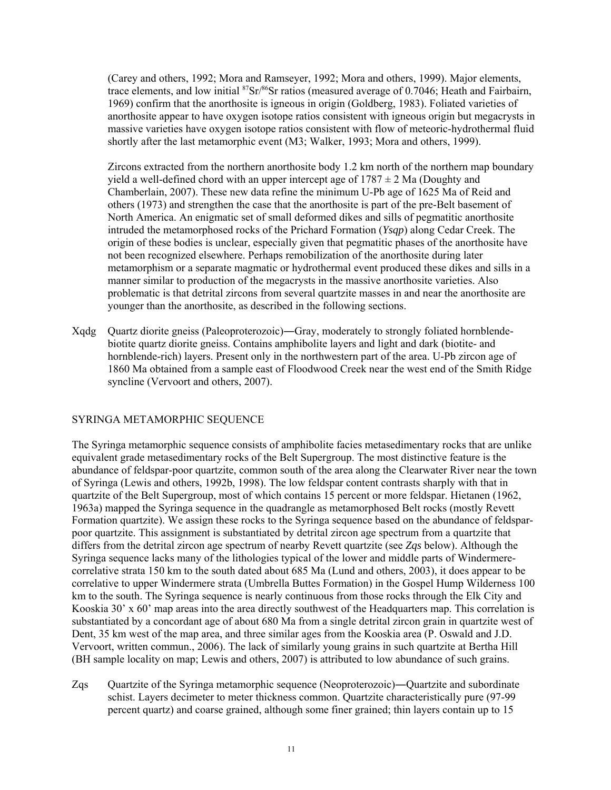(Carey and others, 1992; Mora and Ramseyer, 1992; Mora and others, 1999). Major elements, trace elements, and low initial  ${}^{87}Sr/{}^{86}Sr$  ratios (measured average of 0.7046; Heath and Fairbairn, 1969) confirm that the anorthosite is igneous in origin (Goldberg, 1983). Foliated varieties of anorthosite appear to have oxygen isotope ratios consistent with igneous origin but megacrysts in massive varieties have oxygen isotope ratios consistent with flow of meteoric-hydrothermal fluid shortly after the last metamorphic event (M3; Walker, 1993; Mora and others, 1999).

Zircons extracted from the northern anorthosite body 1.2 km north of the northern map boundary yield a well-defined chord with an upper intercept age of  $1787 \pm 2$  Ma (Doughty and Chamberlain, 2007). These new data refine the minimum U-Pb age of 1625 Ma of Reid and others (1973) and strengthen the case that the anorthosite is part of the pre-Belt basement of North America. An enigmatic set of small deformed dikes and sills of pegmatitic anorthosite intruded the metamorphosed rocks of the Prichard Formation (*Ysqp*) along Cedar Creek. The origin of these bodies is unclear, especially given that pegmatitic phases of the anorthosite have not been recognized elsewhere. Perhaps remobilization of the anorthosite during later metamorphism or a separate magmatic or hydrothermal event produced these dikes and sills in a manner similar to production of the megacrysts in the massive anorthosite varieties. Also problematic is that detrital zircons from several quartzite masses in and near the anorthosite are younger than the anorthosite, as described in the following sections.

Xqdg Quartz diorite gneiss (Paleoproterozoic)―Gray, moderately to strongly foliated hornblendebiotite quartz diorite gneiss. Contains amphibolite layers and light and dark (biotite- and hornblende-rich) layers. Present only in the northwestern part of the area. U-Pb zircon age of 1860 Ma obtained from a sample east of Floodwood Creek near the west end of the Smith Ridge syncline (Vervoort and others, 2007).

# SYRINGA METAMORPHIC SEQUENCE

The Syringa metamorphic sequence consists of amphibolite facies metasedimentary rocks that are unlike equivalent grade metasedimentary rocks of the Belt Supergroup. The most distinctive feature is the abundance of feldspar-poor quartzite, common south of the area along the Clearwater River near the town of Syringa (Lewis and others, 1992b, 1998). The low feldspar content contrasts sharply with that in quartzite of the Belt Supergroup, most of which contains 15 percent or more feldspar. Hietanen (1962, 1963a) mapped the Syringa sequence in the quadrangle as metamorphosed Belt rocks (mostly Revett Formation quartzite). We assign these rocks to the Syringa sequence based on the abundance of feldsparpoor quartzite. This assignment is substantiated by detrital zircon age spectrum from a quartzite that differs from the detrital zircon age spectrum of nearby Revett quartzite (see *Zqs* below). Although the Syringa sequence lacks many of the lithologies typical of the lower and middle parts of Windermerecorrelative strata 150 km to the south dated about 685 Ma (Lund and others, 2003), it does appear to be correlative to upper Windermere strata (Umbrella Buttes Formation) in the Gospel Hump Wilderness 100 km to the south. The Syringa sequence is nearly continuous from those rocks through the Elk City and Kooskia 30' x 60' map areas into the area directly southwest of the Headquarters map. This correlation is substantiated by a concordant age of about 680 Ma from a single detrital zircon grain in quartzite west of Dent, 35 km west of the map area, and three similar ages from the Kooskia area (P. Oswald and J.D. Vervoort, written commun., 2006). The lack of similarly young grains in such quartzite at Bertha Hill (BH sample locality on map; Lewis and others, 2007) is attributed to low abundance of such grains.

Zqs Quartzite of the Syringa metamorphic sequence (Neoproterozoic)—Quartzite and subordinate schist. Layers decimeter to meter thickness common. Quartzite characteristically pure (97-99 percent quartz) and coarse grained, although some finer grained; thin layers contain up to 15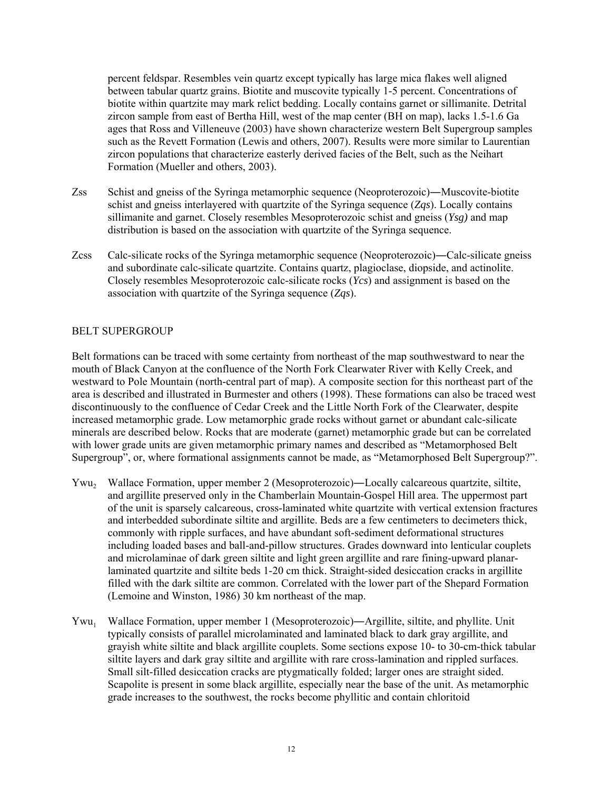percent feldspar. Resembles vein quartz except typically has large mica flakes well aligned between tabular quartz grains. Biotite and muscovite typically 1-5 percent. Concentrations of biotite within quartzite may mark relict bedding. Locally contains garnet or sillimanite. Detrital zircon sample from east of Bertha Hill, west of the map center (BH on map), lacks 1.5-1.6 Ga ages that Ross and Villeneuve (2003) have shown characterize western Belt Supergroup samples such as the Revett Formation (Lewis and others, 2007). Results were more similar to Laurentian zircon populations that characterize easterly derived facies of the Belt, such as the Neihart Formation (Mueller and others, 2003).

- Zss Schist and gneiss of the Syringa metamorphic sequence (Neoproterozoic)―Muscovite-biotite schist and gneiss interlayered with quartzite of the Syringa sequence (*Zqs*). Locally contains sillimanite and garnet. Closely resembles Mesoproterozoic schist and gneiss (*Ysg)* and map distribution is based on the association with quartzite of the Syringa sequence.
- Zcss Calc-silicate rocks of the Syringa metamorphic sequence (Neoproterozoic)―Calc-silicate gneiss and subordinate calc-silicate quartzite. Contains quartz, plagioclase, diopside, and actinolite. Closely resembles Mesoproterozoic calc-silicate rocks (*Ycs*) and assignment is based on the association with quartzite of the Syringa sequence (*Zqs*).

# BELT SUPERGROUP

Belt formations can be traced with some certainty from northeast of the map southwestward to near the mouth of Black Canyon at the confluence of the North Fork Clearwater River with Kelly Creek, and westward to Pole Mountain (north-central part of map). A composite section for this northeast part of the area is described and illustrated in Burmester and others (1998). These formations can also be traced west discontinuously to the confluence of Cedar Creek and the Little North Fork of the Clearwater, despite increased metamorphic grade. Low metamorphic grade rocks without garnet or abundant calc-silicate minerals are described below. Rocks that are moderate (garnet) metamorphic grade but can be correlated with lower grade units are given metamorphic primary names and described as "Metamorphosed Belt Supergroup", or, where formational assignments cannot be made, as "Metamorphosed Belt Supergroup?".

- Ywu<sub>2</sub> Wallace Formation, upper member 2 (Mesoproterozoic)—Locally calcareous quartzite, siltite, and argillite preserved only in the Chamberlain Mountain-Gospel Hill area. The uppermost part of the unit is sparsely calcareous, cross-laminated white quartzite with vertical extension fractures and interbedded subordinate siltite and argillite. Beds are a few centimeters to decimeters thick, commonly with ripple surfaces, and have abundant soft-sediment deformational structures including loaded bases and ball-and-pillow structures. Grades downward into lenticular couplets and microlaminae of dark green siltite and light green argillite and rare fining-upward planarlaminated quartzite and siltite beds 1-20 cm thick. Straight-sided desiccation cracks in argillite filled with the dark siltite are common. Correlated with the lower part of the Shepard Formation (Lemoine and Winston, 1986) 30 km northeast of the map.
- Ywu<sub>1</sub> Wallace Formation, upper member 1 (Mesoproterozoic)—Argillite, siltite, and phyllite. Unit typically consists of parallel microlaminated and laminated black to dark gray argillite, and grayish white siltite and black argillite couplets. Some sections expose 10- to 30-cm-thick tabular siltite layers and dark gray siltite and argillite with rare cross-lamination and rippled surfaces. Small silt-filled desiccation cracks are ptygmatically folded; larger ones are straight sided. Scapolite is present in some black argillite, especially near the base of the unit. As metamorphic grade increases to the southwest, the rocks become phyllitic and contain chloritoid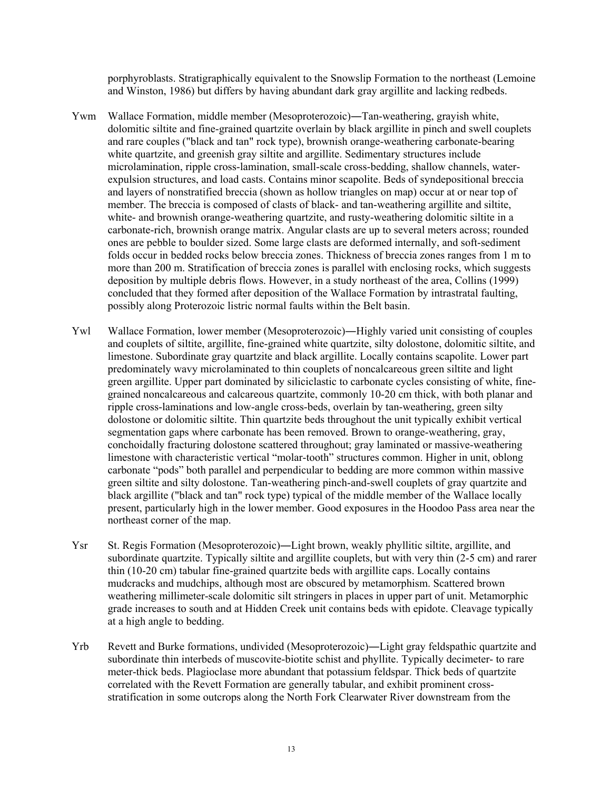porphyroblasts. Stratigraphically equivalent to the Snowslip Formation to the northeast (Lemoine and Winston, 1986) but differs by having abundant dark gray argillite and lacking redbeds.

- Ywm Wallace Formation, middle member (Mesoproterozoic)―Tan-weathering, grayish white, dolomitic siltite and fine-grained quartzite overlain by black argillite in pinch and swell couplets and rare couples ("black and tan" rock type), brownish orange-weathering carbonate-bearing white quartzite, and greenish gray siltite and argillite. Sedimentary structures include microlamination, ripple cross-lamination, small-scale cross-bedding, shallow channels, waterexpulsion structures, and load casts. Contains minor scapolite. Beds of syndepositional breccia and layers of nonstratified breccia (shown as hollow triangles on map) occur at or near top of member. The breccia is composed of clasts of black- and tan-weathering argillite and siltite, white- and brownish orange-weathering quartzite, and rusty-weathering dolomitic siltite in a carbonate-rich, brownish orange matrix. Angular clasts are up to several meters across; rounded ones are pebble to boulder sized. Some large clasts are deformed internally, and soft-sediment folds occur in bedded rocks below breccia zones. Thickness of breccia zones ranges from 1 m to more than 200 m. Stratification of breccia zones is parallel with enclosing rocks, which suggests deposition by multiple debris flows. However, in a study northeast of the area, Collins (1999) concluded that they formed after deposition of the Wallace Formation by intrastratal faulting, possibly along Proterozoic listric normal faults within the Belt basin.
- Ywl Wallace Formation, lower member (Mesoproterozoic)―Highly varied unit consisting of couples and couplets of siltite, argillite, fine-grained white quartzite, silty dolostone, dolomitic siltite, and limestone. Subordinate gray quartzite and black argillite. Locally contains scapolite. Lower part predominately wavy microlaminated to thin couplets of noncalcareous green siltite and light green argillite. Upper part dominated by siliciclastic to carbonate cycles consisting of white, finegrained noncalcareous and calcareous quartzite, commonly 10-20 cm thick, with both planar and ripple cross-laminations and low-angle cross-beds, overlain by tan-weathering, green silty dolostone or dolomitic siltite. Thin quartzite beds throughout the unit typically exhibit vertical segmentation gaps where carbonate has been removed. Brown to orange-weathering, gray, conchoidally fracturing dolostone scattered throughout; gray laminated or massive-weathering limestone with characteristic vertical "molar-tooth" structures common. Higher in unit, oblong carbonate "pods" both parallel and perpendicular to bedding are more common within massive green siltite and silty dolostone. Tan-weathering pinch-and-swell couplets of gray quartzite and black argillite ("black and tan" rock type) typical of the middle member of the Wallace locally present, particularly high in the lower member. Good exposures in the Hoodoo Pass area near the northeast corner of the map.
- Ysr St. Regis Formation (Mesoproterozoic)—Light brown, weakly phyllitic siltite, argillite, and subordinate quartzite. Typically siltite and argillite couplets, but with very thin (2-5 cm) and rarer thin (10-20 cm) tabular fine-grained quartzite beds with argillite caps. Locally contains mudcracks and mudchips, although most are obscured by metamorphism. Scattered brown weathering millimeter-scale dolomitic silt stringers in places in upper part of unit. Metamorphic grade increases to south and at Hidden Creek unit contains beds with epidote. Cleavage typically at a high angle to bedding.
- Yrb Revett and Burke formations, undivided (Mesoproterozoic)―Light gray feldspathic quartzite and subordinate thin interbeds of muscovite-biotite schist and phyllite. Typically decimeter- to rare meter-thick beds. Plagioclase more abundant that potassium feldspar. Thick beds of quartzite correlated with the Revett Formation are generally tabular, and exhibit prominent crossstratification in some outcrops along the North Fork Clearwater River downstream from the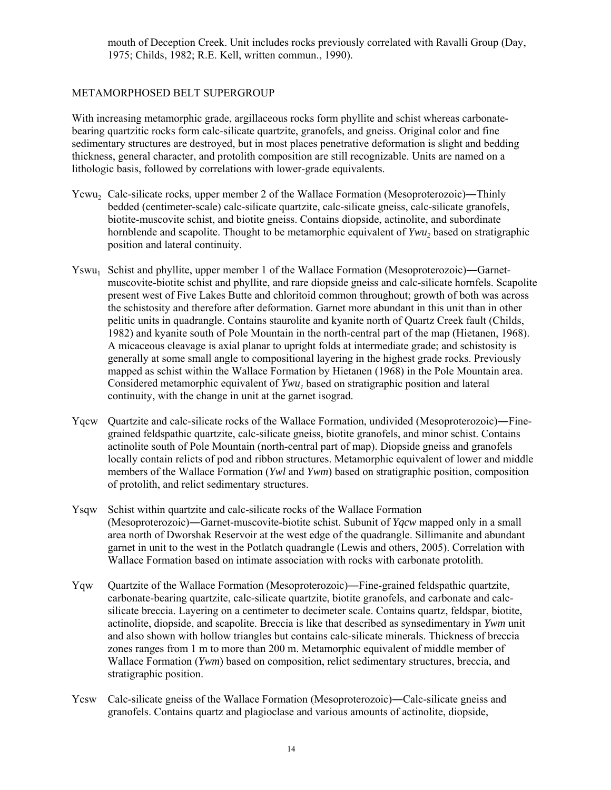mouth of Deception Creek. Unit includes rocks previously correlated with Ravalli Group (Day, 1975; Childs, 1982; R.E. Kell, written commun., 1990).

# METAMORPHOSED BELT SUPERGROUP

With increasing metamorphic grade, argillaceous rocks form phyllite and schist whereas carbonatebearing quartzitic rocks form calc-silicate quartzite, granofels, and gneiss. Original color and fine sedimentary structures are destroyed, but in most places penetrative deformation is slight and bedding thickness, general character, and protolith composition are still recognizable. Units are named on a lithologic basis, followed by correlations with lower-grade equivalents.

- Ycwu, Calc-silicate rocks, upper member 2 of the Wallace Formation (Mesoproterozoic)—Thinly bedded (centimeter-scale) calc-silicate quartzite, calc-silicate gneiss, calc-silicate granofels, biotite-muscovite schist, and biotite gneiss. Contains diopside, actinolite, and subordinate hornblende and scapolite. Thought to be metamorphic equivalent of *Ywu*, based on stratigraphic position and lateral continuity.
- Yswu<sub>1</sub> Schist and phyllite, upper member 1 of the Wallace Formation (Mesoproterozoic)—Garnetmuscovite-biotite schist and phyllite, and rare diopside gneiss and calc-silicate hornfels. Scapolite present west of Five Lakes Butte and chloritoid common throughout; growth of both was across the schistosity and therefore after deformation. Garnet more abundant in this unit than in other pelitic units in quadrangle. Contains staurolite and kyanite north of Quartz Creek fault (Childs, 1982) and kyanite south of Pole Mountain in the north-central part of the map (Hietanen, 1968). A micaceous cleavage is axial planar to upright folds at intermediate grade; and schistosity is generally at some small angle to compositional layering in the highest grade rocks. Previously mapped as schist within the Wallace Formation by Hietanen (1968) in the Pole Mountain area. Considered metamorphic equivalent of *Ywu<sub>1</sub>* based on stratigraphic position and lateral continuity, with the change in unit at the garnet isograd.
- Yqcw Quartzite and calc-silicate rocks of the Wallace Formation, undivided (Mesoproterozoic)―Finegrained feldspathic quartzite, calc-silicate gneiss, biotite granofels, and minor schist. Contains actinolite south of Pole Mountain (north-central part of map). Diopside gneiss and granofels locally contain relicts of pod and ribbon structures. Metamorphic equivalent of lower and middle members of the Wallace Formation (*Ywl* and *Ywm*) based on stratigraphic position, composition of protolith, and relict sedimentary structures.
- Ysqw Schist within quartzite and calc-silicate rocks of the Wallace Formation (Mesoproterozoic)―Garnet-muscovite-biotite schist. Subunit of *Yqcw* mapped only in a small area north of Dworshak Reservoir at the west edge of the quadrangle. Sillimanite and abundant garnet in unit to the west in the Potlatch quadrangle (Lewis and others, 2005). Correlation with Wallace Formation based on intimate association with rocks with carbonate protolith.
- Yqw Quartzite of the Wallace Formation (Mesoproterozoic)―Fine-grained feldspathic quartzite, carbonate-bearing quartzite, calc-silicate quartzite, biotite granofels, and carbonate and calcsilicate breccia. Layering on a centimeter to decimeter scale. Contains quartz, feldspar, biotite, actinolite, diopside, and scapolite. Breccia is like that described as synsedimentary in *Ywm* unit and also shown with hollow triangles but contains calc-silicate minerals. Thickness of breccia zones ranges from 1 m to more than 200 m. Metamorphic equivalent of middle member of Wallace Formation (*Ywm*) based on composition, relict sedimentary structures, breccia, and stratigraphic position.
- Ycsw Calc-silicate gneiss of the Wallace Formation (Mesoproterozoic)―Calc-silicate gneiss and granofels. Contains quartz and plagioclase and various amounts of actinolite, diopside,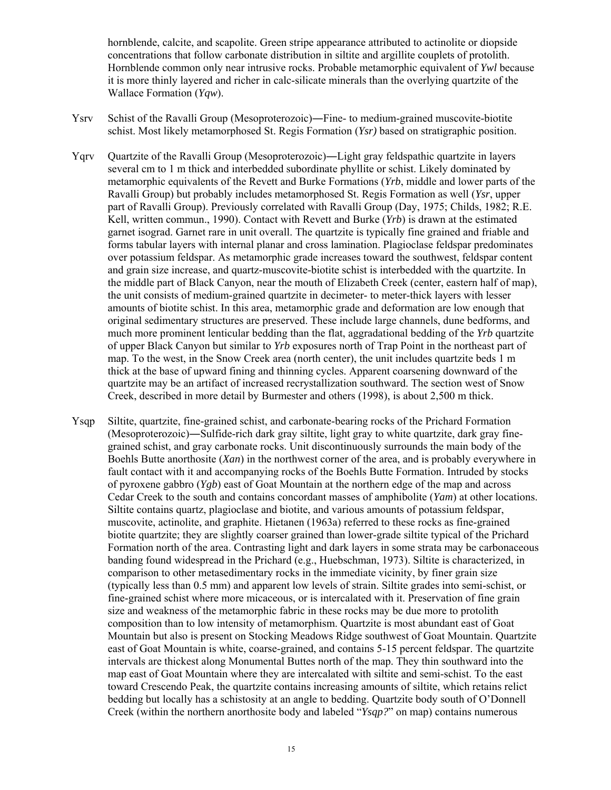hornblende, calcite, and scapolite. Green stripe appearance attributed to actinolite or diopside concentrations that follow carbonate distribution in siltite and argillite couplets of protolith. Hornblende common only near intrusive rocks. Probable metamorphic equivalent of *Ywl* because it is more thinly layered and richer in calc-silicate minerals than the overlying quartzite of the Wallace Formation (*Yqw*).

- Ysrv Schist of the Ravalli Group (Mesoproterozoic)―Fine- to medium-grained muscovite-biotite schist. Most likely metamorphosed St. Regis Formation (*Ysr)* based on stratigraphic position.
- Yqrv Quartzite of the Ravalli Group (Mesoproterozoic)―Light gray feldspathic quartzite in layers several cm to 1 m thick and interbedded subordinate phyllite or schist. Likely dominated by metamorphic equivalents of the Revett and Burke Formations (*Yrb*, middle and lower parts of the Ravalli Group) but probably includes metamorphosed St. Regis Formation as well (*Ysr*, upper part of Ravalli Group). Previously correlated with Ravalli Group (Day, 1975; Childs, 1982; R.E. Kell, written commun., 1990). Contact with Revett and Burke (*Yrb*) is drawn at the estimated garnet isograd. Garnet rare in unit overall. The quartzite is typically fine grained and friable and forms tabular layers with internal planar and cross lamination. Plagioclase feldspar predominates over potassium feldspar. As metamorphic grade increases toward the southwest, feldspar content and grain size increase, and quartz-muscovite-biotite schist is interbedded with the quartzite. In the middle part of Black Canyon, near the mouth of Elizabeth Creek (center, eastern half of map), the unit consists of medium-grained quartzite in decimeter- to meter-thick layers with lesser amounts of biotite schist. In this area, metamorphic grade and deformation are low enough that original sedimentary structures are preserved. These include large channels, dune bedforms, and much more prominent lenticular bedding than the flat, aggradational bedding of the *Yrb* quartzite of upper Black Canyon but similar to *Yrb* exposures north of Trap Point in the northeast part of map. To the west, in the Snow Creek area (north center), the unit includes quartzite beds 1 m thick at the base of upward fining and thinning cycles. Apparent coarsening downward of the quartzite may be an artifact of increased recrystallization southward. The section west of Snow Creek, described in more detail by Burmester and others (1998), is about 2,500 m thick.
- Ysqp Siltite, quartzite, fine-grained schist, and carbonate-bearing rocks of the Prichard Formation (Mesoproterozoic)―Sulfide-rich dark gray siltite, light gray to white quartzite, dark gray finegrained schist, and gray carbonate rocks. Unit discontinuously surrounds the main body of the Boehls Butte anorthosite (*Xan*) in the northwest corner of the area, and is probably everywhere in fault contact with it and accompanying rocks of the Boehls Butte Formation. Intruded by stocks of pyroxene gabbro (*Ygb*) east of Goat Mountain at the northern edge of the map and across Cedar Creek to the south and contains concordant masses of amphibolite (*Yam*) at other locations. Siltite contains quartz, plagioclase and biotite, and various amounts of potassium feldspar, muscovite, actinolite, and graphite. Hietanen (1963a) referred to these rocks as fine-grained biotite quartzite; they are slightly coarser grained than lower-grade siltite typical of the Prichard Formation north of the area. Contrasting light and dark layers in some strata may be carbonaceous banding found widespread in the Prichard (e.g., Huebschman, 1973). Siltite is characterized, in comparison to other metasedimentary rocks in the immediate vicinity, by finer grain size (typically less than 0.5 mm) and apparent low levels of strain. Siltite grades into semi-schist, or fine-grained schist where more micaceous, or is intercalated with it. Preservation of fine grain size and weakness of the metamorphic fabric in these rocks may be due more to protolith composition than to low intensity of metamorphism. Quartzite is most abundant east of Goat Mountain but also is present on Stocking Meadows Ridge southwest of Goat Mountain. Quartzite east of Goat Mountain is white, coarse-grained, and contains 5-15 percent feldspar. The quartzite intervals are thickest along Monumental Buttes north of the map. They thin southward into the map east of Goat Mountain where they are intercalated with siltite and semi-schist. To the east toward Crescendo Peak, the quartzite contains increasing amounts of siltite, which retains relict bedding but locally has a schistosity at an angle to bedding. Quartzite body south of O'Donnell Creek (within the northern anorthosite body and labeled "*Ysqp?*" on map) contains numerous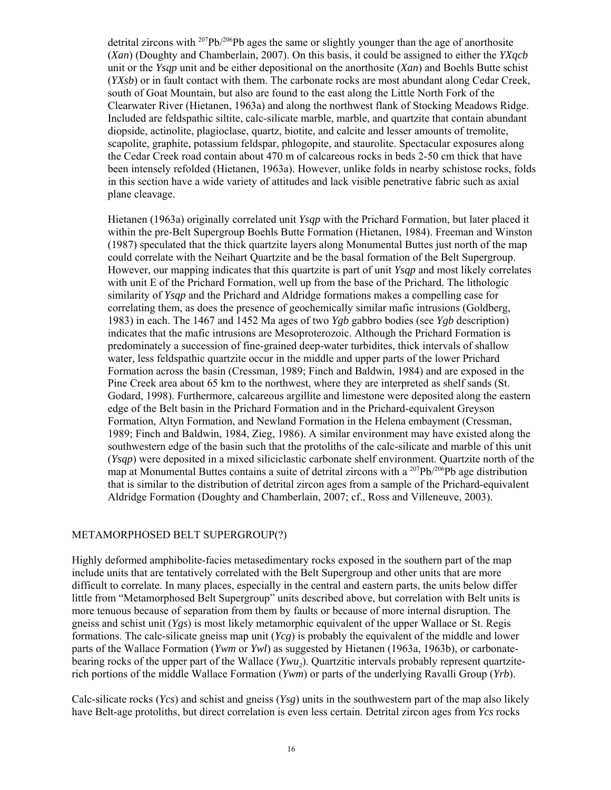detrital zircons with  $^{207}Pb^{206}Pb$  ages the same or slightly younger than the age of anorthosite (*Xan*) (Doughty and Chamberlain, 2007). On this basis, it could be assigned to either the *YXqcb* unit or the *Ysqp* unit and be either depositional on the anorthosite (*Xan*) and Boehls Butte schist (*YXsb*) or in fault contact with them. The carbonate rocks are most abundant along Cedar Creek, south of Goat Mountain, but also are found to the east along the Little North Fork of the Clearwater River (Hietanen, 1963a) and along the northwest flank of Stocking Meadows Ridge. Included are feldspathic siltite, calc-silicate marble, marble, and quartzite that contain abundant diopside, actinolite, plagioclase, quartz, biotite, and calcite and lesser amounts of tremolite, scapolite, graphite, potassium feldspar, phlogopite, and staurolite. Spectacular exposures along the Cedar Creek road contain about 470 m of calcareous rocks in beds 2-50 cm thick that have been intensely refolded (Hietanen, 1963a). However, unlike folds in nearby schistose rocks, folds in this section have a wide variety of attitudes and lack visible penetrative fabric such as axial plane cleavage.

Hietanen (1963a) originally correlated unit *Ysqp* with the Prichard Formation, but later placed it within the pre-Belt Supergroup Boehls Butte Formation (Hietanen, 1984). Freeman and Winston (1987) speculated that the thick quartzite layers along Monumental Buttes just north of the map could correlate with the Neihart Quartzite and be the basal formation of the Belt Supergroup. However, our mapping indicates that this quartzite is part of unit *Ysqp* and most likely correlates with unit E of the Prichard Formation, well up from the base of the Prichard. The lithologic similarity of *Ysqp* and the Prichard and Aldridge formations makes a compelling case for correlating them, as does the presence of geochemically similar mafic intrusions (Goldberg, 1983) in each. The 1467 and 1452 Ma ages of two *Ygb* gabbro bodies (see *Ygb* description) indicates that the mafic intrusions are Mesoproterozoic. Although the Prichard Formation is predominately a succession of fine-grained deep-water turbidites, thick intervals of shallow water, less feldspathic quartzite occur in the middle and upper parts of the lower Prichard Formation across the basin (Cressman, 1989; Finch and Baldwin, 1984) and are exposed in the Pine Creek area about 65 km to the northwest, where they are interpreted as shelf sands (St. Godard, 1998). Furthermore, calcareous argillite and limestone were deposited along the eastern edge of the Belt basin in the Prichard Formation and in the Prichard-equivalent Greyson Formation, Altyn Formation, and Newland Formation in the Helena embayment (Cressman, 1989; Finch and Baldwin, 1984, Zieg, 1986). A similar environment may have existed along the southwestern edge of the basin such that the protoliths of the calc-silicate and marble of this unit (*Ysqp*) were deposited in a mixed siliciclastic carbonate shelf environment. Quartzite north of the map at Monumental Buttes contains a suite of detrital zircons with a <sup>207</sup>Pb/<sup>206</sup>Pb age distribution that is similar to the distribution of detrital zircon ages from a sample of the Prichard-equivalent Aldridge Formation (Doughty and Chamberlain, 2007; cf., Ross and Villeneuve, 2003).

# METAMORPHOSED BELT SUPERGROUP(?)

Highly deformed amphibolite-facies metasedimentary rocks exposed in the southern part of the map include units that are tentatively correlated with the Belt Supergroup and other units that are more difficult to correlate. In many places, especially in the central and eastern parts, the units below differ little from "Metamorphosed Belt Supergroup" units described above, but correlation with Belt units is more tenuous because of separation from them by faults or because of more internal disruption. The gneiss and schist unit (*Ygs*) is most likely metamorphic equivalent of the upper Wallace or St. Regis formations. The calc-silicate gneiss map unit (*Ycg*) is probably the equivalent of the middle and lower parts of the Wallace Formation (*Ywm* or *Ywl*) as suggested by Hietanen (1963a, 1963b), or carbonatebearing rocks of the upper part of the Wallace (*Ywu*<sub>2</sub>). Quartzitic intervals probably represent quartziterich portions of the middle Wallace Formation (*Ywm*) or parts of the underlying Ravalli Group (*Yrb*).

Calc-silicate rocks (*Ycs*) and schist and gneiss (*Ysg*) units in the southwestern part of the map also likely have Belt-age protoliths, but direct correlation is even less certain. Detrital zircon ages from *Ycs* rocks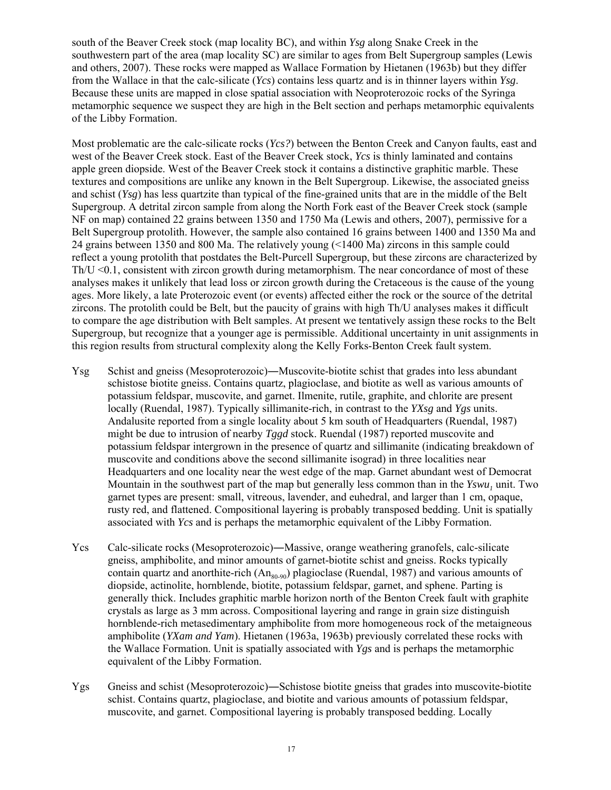south of the Beaver Creek stock (map locality BC), and within *Ysg* along Snake Creek in the southwestern part of the area (map locality SC) are similar to ages from Belt Supergroup samples (Lewis and others, 2007). These rocks were mapped as Wallace Formation by Hietanen (1963b) but they differ from the Wallace in that the calc-silicate (*Ycs*) contains less quartz and is in thinner layers within *Ysg*. Because these units are mapped in close spatial association with Neoproterozoic rocks of the Syringa metamorphic sequence we suspect they are high in the Belt section and perhaps metamorphic equivalents of the Libby Formation.

Most problematic are the calc-silicate rocks (*Ycs?*) between the Benton Creek and Canyon faults, east and west of the Beaver Creek stock. East of the Beaver Creek stock, *Ycs* is thinly laminated and contains apple green diopside. West of the Beaver Creek stock it contains a distinctive graphitic marble. These textures and compositions are unlike any known in the Belt Supergroup. Likewise, the associated gneiss and schist (*Ysg*) has less quartzite than typical of the fine-grained units that are in the middle of the Belt Supergroup. A detrital zircon sample from along the North Fork east of the Beaver Creek stock (sample NF on map) contained 22 grains between 1350 and 1750 Ma (Lewis and others, 2007), permissive for a Belt Supergroup protolith. However, the sample also contained 16 grains between 1400 and 1350 Ma and 24 grains between 1350 and 800 Ma. The relatively young (<1400 Ma) zircons in this sample could reflect a young protolith that postdates the Belt-Purcell Supergroup, but these zircons are characterized by  $Th/U < 0.1$ , consistent with zircon growth during metamorphism. The near concordance of most of these analyses makes it unlikely that lead loss or zircon growth during the Cretaceous is the cause of the young ages. More likely, a late Proterozoic event (or events) affected either the rock or the source of the detrital zircons. The protolith could be Belt, but the paucity of grains with high Th/U analyses makes it difficult to compare the age distribution with Belt samples. At present we tentatively assign these rocks to the Belt Supergroup, but recognize that a younger age is permissible. Additional uncertainty in unit assignments in this region results from structural complexity along the Kelly Forks-Benton Creek fault system.

- Ysg Schist and gneiss (Mesoproterozoic)―Muscovite-biotite schist that grades into less abundant schistose biotite gneiss. Contains quartz, plagioclase, and biotite as well as various amounts of potassium feldspar, muscovite, and garnet. Ilmenite, rutile, graphite, and chlorite are present locally (Ruendal, 1987). Typically sillimanite-rich, in contrast to the *YXsg* and *Ygs* units. Andalusite reported from a single locality about 5 km south of Headquarters (Ruendal, 1987) might be due to intrusion of nearby *Tggd* stock. Ruendal (1987) reported muscovite and potassium feldspar intergrown in the presence of quartz and sillimanite (indicating breakdown of muscovite and conditions above the second sillimanite isograd) in three localities near Headquarters and one locality near the west edge of the map. Garnet abundant west of Democrat Mountain in the southwest part of the map but generally less common than in the *Yswu*, unit. Two garnet types are present: small, vitreous, lavender, and euhedral, and larger than 1 cm, opaque, rusty red, and flattened. Compositional layering is probably transposed bedding. Unit is spatially associated with *Ycs* and is perhaps the metamorphic equivalent of the Libby Formation.
- Ycs Calc-silicate rocks (Mesoproterozoic)―Massive, orange weathering granofels, calc-silicate gneiss, amphibolite, and minor amounts of garnet-biotite schist and gneiss. Rocks typically contain quartz and anorthite-rich  $(An_{80.90})$  plagioclase (Ruendal, 1987) and various amounts of diopside, actinolite, hornblende, biotite, potassium feldspar, garnet, and sphene. Parting is generally thick. Includes graphitic marble horizon north of the Benton Creek fault with graphite crystals as large as 3 mm across. Compositional layering and range in grain size distinguish hornblende-rich metasedimentary amphibolite from more homogeneous rock of the metaigneous amphibolite (*YXam and Yam*). Hietanen (1963a, 1963b) previously correlated these rocks with the Wallace Formation. Unit is spatially associated with *Ygs* and is perhaps the metamorphic equivalent of the Libby Formation.
- Ygs Gneiss and schist (Mesoproterozoic)―Schistose biotite gneiss that grades into muscovite-biotite schist. Contains quartz, plagioclase, and biotite and various amounts of potassium feldspar, muscovite, and garnet. Compositional layering is probably transposed bedding. Locally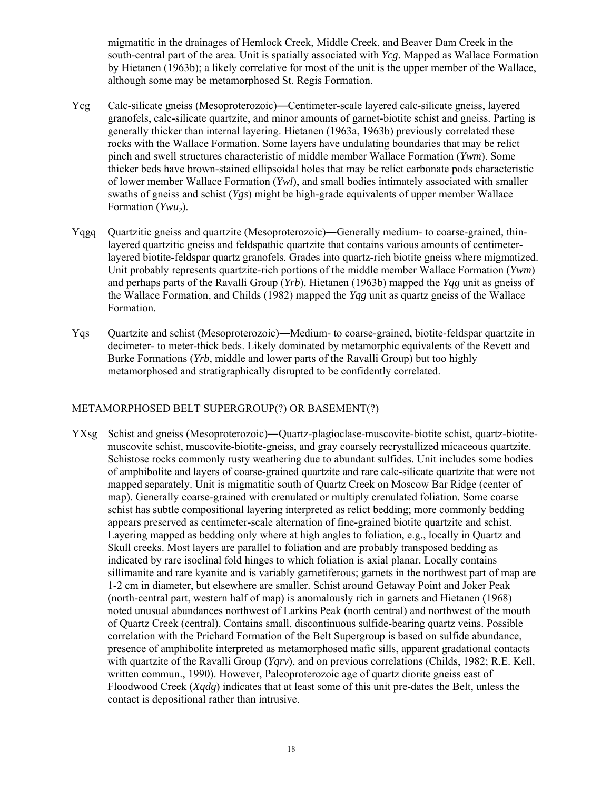migmatitic in the drainages of Hemlock Creek, Middle Creek, and Beaver Dam Creek in the south-central part of the area. Unit is spatially associated with *Ycg*. Mapped as Wallace Formation by Hietanen (1963b); a likely correlative for most of the unit is the upper member of the Wallace, although some may be metamorphosed St. Regis Formation.

- Ycg Calc-silicate gneiss (Mesoproterozoic)―Centimeter-scale layered calc-silicate gneiss, layered granofels, calc-silicate quartzite, and minor amounts of garnet-biotite schist and gneiss. Parting is generally thicker than internal layering. Hietanen (1963a, 1963b) previously correlated these rocks with the Wallace Formation. Some layers have undulating boundaries that may be relict pinch and swell structures characteristic of middle member Wallace Formation (*Ywm*). Some thicker beds have brown-stained ellipsoidal holes that may be relict carbonate pods characteristic of lower member Wallace Formation (*Ywl*), and small bodies intimately associated with smaller swaths of gneiss and schist (*Ygs*) might be high-grade equivalents of upper member Wallace Formation (*Ywu*<sub>2</sub>).
- Yqgq Quartzitic gneiss and quartzite (Mesoproterozoic)―Generally medium- to coarse-grained, thinlayered quartzitic gneiss and feldspathic quartzite that contains various amounts of centimeterlayered biotite-feldspar quartz granofels. Grades into quartz-rich biotite gneiss where migmatized. Unit probably represents quartzite-rich portions of the middle member Wallace Formation (*Ywm*) and perhaps parts of the Ravalli Group (*Yrb*). Hietanen (1963b) mapped the *Yqg* unit as gneiss of the Wallace Formation, and Childs (1982) mapped the *Yqg* unit as quartz gneiss of the Wallace Formation.
- Yqs Quartzite and schist (Mesoproterozoic)―Medium- to coarse-grained, biotite-feldspar quartzite in decimeter- to meter-thick beds. Likely dominated by metamorphic equivalents of the Revett and Burke Formations (*Yrb*, middle and lower parts of the Ravalli Group) but too highly metamorphosed and stratigraphically disrupted to be confidently correlated.

# METAMORPHOSED BELT SUPERGROUP(?) OR BASEMENT(?)

YXsg Schist and gneiss (Mesoproterozoic)―Quartz-plagioclase-muscovite-biotite schist, quartz-biotitemuscovite schist, muscovite-biotite-gneiss, and gray coarsely recrystallized micaceous quartzite. Schistose rocks commonly rusty weathering due to abundant sulfides. Unit includes some bodies of amphibolite and layers of coarse-grained quartzite and rare calc-silicate quartzite that were not mapped separately. Unit is migmatitic south of Quartz Creek on Moscow Bar Ridge (center of map). Generally coarse-grained with crenulated or multiply crenulated foliation. Some coarse schist has subtle compositional layering interpreted as relict bedding; more commonly bedding appears preserved as centimeter-scale alternation of fine-grained biotite quartzite and schist. Layering mapped as bedding only where at high angles to foliation, e.g., locally in Quartz and Skull creeks. Most layers are parallel to foliation and are probably transposed bedding as indicated by rare isoclinal fold hinges to which foliation is axial planar. Locally contains sillimanite and rare kyanite and is variably garnetiferous; garnets in the northwest part of map are 1-2 cm in diameter, but elsewhere are smaller. Schist around Getaway Point and Joker Peak (north-central part, western half of map) is anomalously rich in garnets and Hietanen (1968) noted unusual abundances northwest of Larkins Peak (north central) and northwest of the mouth of Quartz Creek (central). Contains small, discontinuous sulfide-bearing quartz veins. Possible correlation with the Prichard Formation of the Belt Supergroup is based on sulfide abundance, presence of amphibolite interpreted as metamorphosed mafic sills, apparent gradational contacts with quartzite of the Ravalli Group (*Yqrv*), and on previous correlations (Childs, 1982; R.E. Kell, written commun., 1990). However, Paleoproterozoic age of quartz diorite gneiss east of Floodwood Creek (*Xqdg*) indicates that at least some of this unit pre-dates the Belt, unless the contact is depositional rather than intrusive.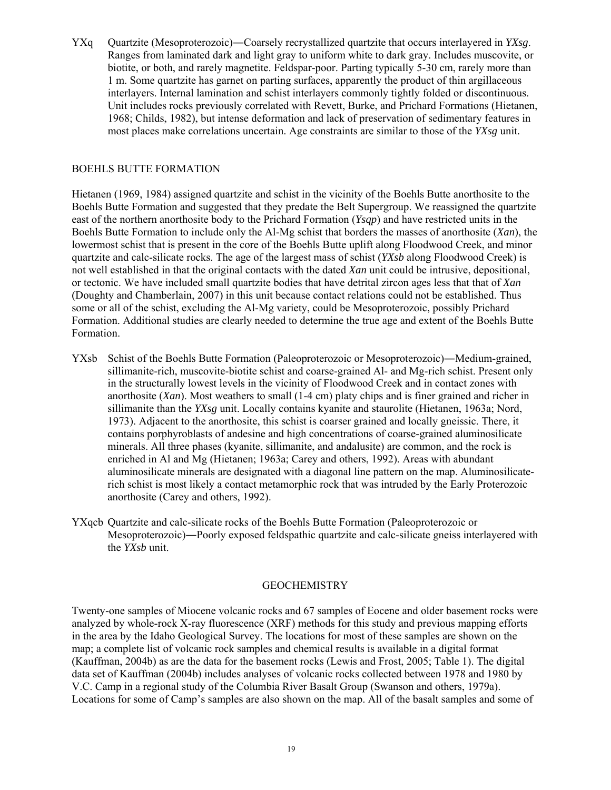YXq Quartzite (Mesoproterozoic)―Coarsely recrystallized quartzite that occurs interlayered in *YXsg*. Ranges from laminated dark and light gray to uniform white to dark gray. Includes muscovite, or biotite, or both, and rarely magnetite. Feldspar-poor. Parting typically 5-30 cm, rarely more than 1 m. Some quartzite has garnet on parting surfaces, apparently the product of thin argillaceous interlayers. Internal lamination and schist interlayers commonly tightly folded or discontinuous. Unit includes rocks previously correlated with Revett, Burke, and Prichard Formations (Hietanen, 1968; Childs, 1982), but intense deformation and lack of preservation of sedimentary features in most places make correlations uncertain. Age constraints are similar to those of the *YXsg* unit.

# BOEHLS BUTTE FORMATION

Hietanen (1969, 1984) assigned quartzite and schist in the vicinity of the Boehls Butte anorthosite to the Boehls Butte Formation and suggested that they predate the Belt Supergroup. We reassigned the quartzite east of the northern anorthosite body to the Prichard Formation (*Ysqp*) and have restricted units in the Boehls Butte Formation to include only the Al-Mg schist that borders the masses of anorthosite (*Xan*), the lowermost schist that is present in the core of the Boehls Butte uplift along Floodwood Creek, and minor quartzite and calc-silicate rocks. The age of the largest mass of schist (*YXsb* along Floodwood Creek) is not well established in that the original contacts with the dated *Xan* unit could be intrusive, depositional, or tectonic. We have included small quartzite bodies that have detrital zircon ages less that that of *Xan* (Doughty and Chamberlain, 2007) in this unit because contact relations could not be established. Thus some or all of the schist, excluding the Al-Mg variety, could be Mesoproterozoic, possibly Prichard Formation. Additional studies are clearly needed to determine the true age and extent of the Boehls Butte Formation.

- YXsb Schist of the Boehls Butte Formation (Paleoproterozoic or Mesoproterozoic)―Medium-grained, sillimanite-rich, muscovite-biotite schist and coarse-grained Al- and Mg-rich schist. Present only in the structurally lowest levels in the vicinity of Floodwood Creek and in contact zones with anorthosite (*Xan*). Most weathers to small (1-4 cm) platy chips and is finer grained and richer in sillimanite than the *YXsg* unit. Locally contains kyanite and staurolite (Hietanen, 1963a; Nord, 1973). Adjacent to the anorthosite, this schist is coarser grained and locally gneissic. There, it contains porphyroblasts of andesine and high concentrations of coarse-grained aluminosilicate minerals. All three phases (kyanite, sillimanite, and andalusite) are common, and the rock is enriched in Al and Mg (Hietanen; 1963a; Carey and others, 1992). Areas with abundant aluminosilicate minerals are designated with a diagonal line pattern on the map. Aluminosilicaterich schist is most likely a contact metamorphic rock that was intruded by the Early Proterozoic anorthosite (Carey and others, 1992).
- YXqcb Quartzite and calc-silicate rocks of the Boehls Butte Formation (Paleoproterozoic or Mesoproterozoic)―Poorly exposed feldspathic quartzite and calc-silicate gneiss interlayered with the *YXsb* unit.

# GEOCHEMISTRY

Twenty-one samples of Miocene volcanic rocks and 67 samples of Eocene and older basement rocks were analyzed by whole-rock X-ray fluorescence (XRF) methods for this study and previous mapping efforts in the area by the Idaho Geological Survey. The locations for most of these samples are shown on the map; a complete list of volcanic rock samples and chemical results is available in a digital format (Kauffman, 2004b) as are the data for the basement rocks (Lewis and Frost, 2005; Table 1). The digital data set of Kauffman (2004b) includes analyses of volcanic rocks collected between 1978 and 1980 by V.C. Camp in a regional study of the Columbia River Basalt Group (Swanson and others, 1979a). Locations for some of Camp's samples are also shown on the map. All of the basalt samples and some of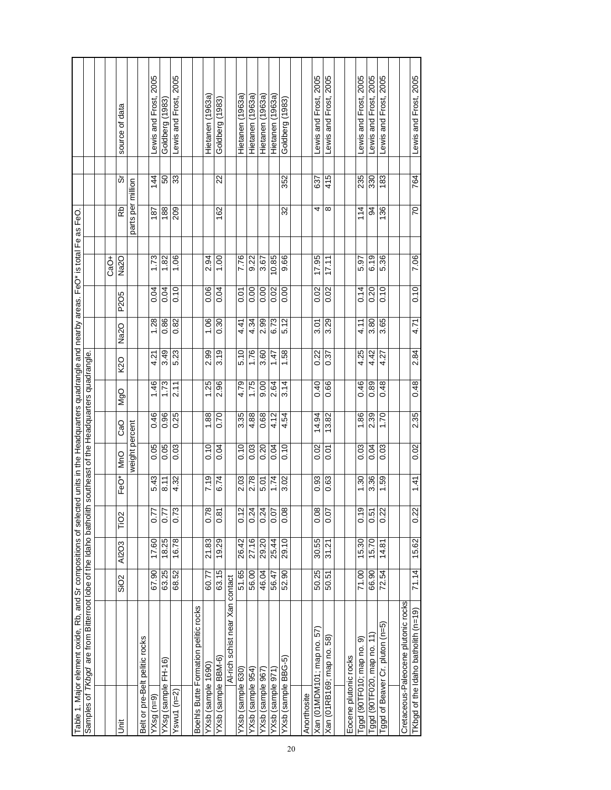| SiO <sub>2</sub>                                  |       | Samples of TKbgd are from Bitterroot lobe of the Idaho batholit |                     |                     |          |                | southeast of the Headquarters quadrangle. |                   |                |                   |                   |     |                          |
|---------------------------------------------------|-------|-----------------------------------------------------------------|---------------------|---------------------|----------|----------------|-------------------------------------------|-------------------|----------------|-------------------|-------------------|-----|--------------------------|
|                                                   |       |                                                                 |                     |                     |          |                |                                           |                   |                |                   |                   |     |                          |
|                                                   |       |                                                                 |                     |                     |          |                |                                           |                   |                | CaO+              |                   |     |                          |
|                                                   | AI2O3 | TiO <sub>2</sub>                                                | FeO*                | <b>MnO</b>          | CaO      | <b>NgO</b>     | <b>SZ</b>                                 | Na <sub>2</sub> O | P2O5           | Na <sub>2</sub> O | 웂                 | ທັ  | source of data           |
|                                                   |       |                                                                 |                     | weight percent      |          |                |                                           |                   |                |                   | parts per million |     |                          |
| Belt or pre-Belt pelitic rocks                    |       |                                                                 |                     |                     |          |                |                                           |                   |                |                   |                   |     |                          |
| 67.90<br>$YXsg(n=9)$                              | 17.60 | 77                                                              | $\frac{3}{4}$<br>ທ່ | 0.05                | 0.46     | 1.46           | 4.21                                      | 1.28              | 0.04           | 1.73              | 187               | 144 | 2005<br>-ewis and Frost, |
| 63.25<br>YXsg (sample FH-16)                      | 18.25 | 0.77                                                            | $\frac{1}{8}$       | 0.05                | 0.96     | 1.73           | 3.49                                      | 0.86              | 9.04           | 1.82              | 188               | 50  | Goldberg (1983)          |
| 68.52<br>Yswu1 ( $n=2$ )                          | 16.78 | 0.73                                                            | 4.32                | 0.03                | 0.25     | $\frac{21}{1}$ | 5.23                                      | 0.82              | 0.10           | 1.06              | 209               | 33  | Lewis and Frost, 2005    |
|                                                   |       |                                                                 |                     |                     |          |                |                                           |                   |                |                   |                   |     |                          |
| Boehls Butte Formation pelitic rocks              |       |                                                                 |                     |                     |          |                |                                           |                   |                |                   |                   |     |                          |
| 60.77<br>YXsb (sample 1690)                       | 21.83 | 0.78                                                            | 7.19                | 0.10                | 1.88     | 1.25           | 2.99                                      | 1.06              | 0.06           | 2.94              |                   |     | Hietanen (1963a)         |
| 63.15<br>YXsb (sample BBM-6)                      | 19.29 | $\frac{8}{10}$                                                  | 6.74                | 0.04                | 0.70     | 2.96           | 3.19                                      | 0.30              | 9.04           | $\frac{8}{1}$     | 162               | 22  | Goldberg (1983)          |
| Al-rich schist near Xan contact                   |       |                                                                 |                     |                     |          |                |                                           |                   |                |                   |                   |     |                          |
| 51.65<br>YXsb (sample 630)                        | 26.42 | 0.12                                                            | 2.03                | 0.10                | 3.35     | 4.79           | 5.10                                      | 4.41              | δ<br>Ο         | 7.76              |                   |     | Hietanen (1963a)         |
| 56.00<br>YXsb (sample 954)                        | 27.16 | 0.24                                                            | 2.78                | 0.03                | 4.88     | 1.75           | 1.76                                      | 4.34              | $\frac{8}{10}$ | 9.22              |                   |     | Hietanen (1963a)         |
| 46.04<br>YXsb (sample 967                         | 29.20 | 0.24                                                            | 5.01                | 0.20                | 0.68     | 0.00           | 3.60                                      | 2.99              | 0.00           | 3.67              |                   |     | (1963a)<br>Hietanen      |
| 56.47<br>YXsb (sample 971)                        | 25.44 | 0.07                                                            | 1.74                | 0.04                | 4.12     | 2.64           | 1.47                                      | 6.73              | 0.02           | 10.85             |                   |     | Hietanen (1963a)         |
| 52.90<br>YXsb (sample BBG-5)                      | 29.10 | 0.08                                                            | 3.02                | 0.10                | 54<br>4. | 3.14           | 1.58                                      | 5.12              | 0.00           | 9.66              | 32                | 352 | Goldberg (1983)          |
|                                                   |       |                                                                 |                     |                     |          |                |                                           |                   |                |                   |                   |     |                          |
| Anorthosite                                       |       |                                                                 |                     |                     |          |                |                                           |                   |                |                   |                   |     |                          |
| 50.25<br>Xan (01MDM101; map no. 57)               | 30.55 | 0.08                                                            | SS.<br>ö            | 0.02                | 14.94    | 0.40           | 0.22                                      | 3.01              | 0.02           | 17.95             | 4                 | 637 | Lewis and Frost, 2005    |
| 50.51<br>$\overline{58}$<br>Xan (01RB169; map no. | 31.21 | 0.07                                                            | 0.63                | δ<br>Θ              | 13.82    | 0.66           | 0.37                                      | 3.29              | 0.02           | 17.11             | ∞                 | 415 | 2005<br>Lewis and Frost, |
|                                                   |       |                                                                 |                     |                     |          |                |                                           |                   |                |                   |                   |     |                          |
| Eocene plutonic rocks                             |       |                                                                 |                     |                     |          |                |                                           |                   |                |                   |                   |     |                          |
| 71.00<br>ၜ<br>Tggd (90TF010; map no.              | 15.30 | 0.19                                                            | $\frac{6}{3}$       | 0.03                | 1.86     | 0.46           | 4.25                                      | 4.11              | 0.14           | 5.97              | 114               | 235 | 2005<br>-ewis and Frost, |
| 66.90<br>Tggd (90TF020, map no. 11)               | 15.70 | 0.51                                                            | 3.36                | 0.04                | 2.39     | 0.89           | 4.42                                      | 3.80              | 0.20           | 6.19              | 34                | 330 | Lewis and Frost, 2005    |
| 72.54<br>Tggd of Beaver Cr. pluton (n=5)          | 14.81 | 0.22                                                            | S9                  | C <sub>3</sub><br>ö | 1.70     | 0.48           | 21<br>4.                                  | 65<br>က           | 0.10           | 5.36              | 136               | 183 | 2005<br>Lewis and Frost, |
|                                                   |       |                                                                 |                     |                     |          |                |                                           |                   |                |                   |                   |     |                          |
| Cretaceous-Paleocene plutonic rocks               |       |                                                                 |                     |                     |          |                |                                           |                   |                |                   |                   |     |                          |
| 71.14<br>TKbgd of the Idaho batholith (n=19)      | 15.62 | 0.22                                                            | 1.41                | 0.02                | 2.35     | 0.48           | 2.84                                      | 4.71              | 0.10           | 7.06              | 20                | 764 | Lewis and Frost, 2005    |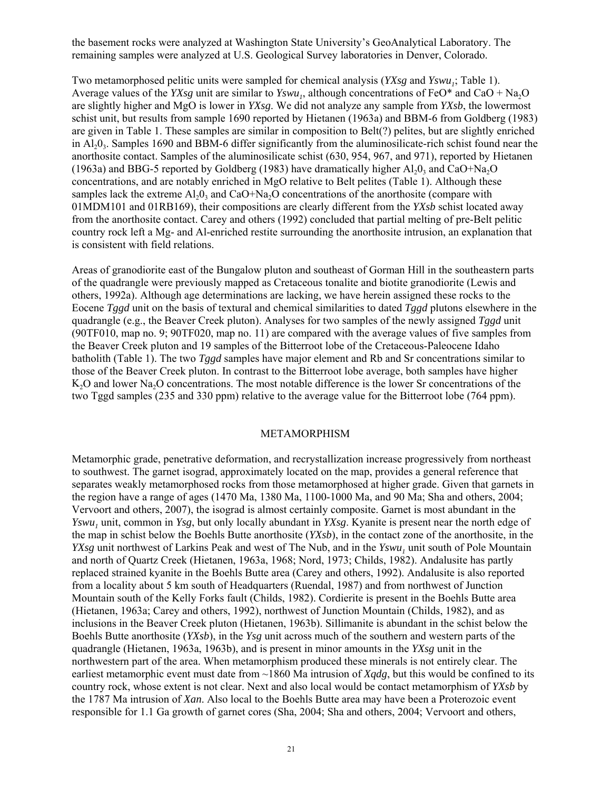the basement rocks were analyzed at Washington State University's GeoAnalytical Laboratory. The remaining samples were analyzed at U.S. Geological Survey laboratories in Denver, Colorado.

Two metamorphosed pelitic units were sampled for chemical analysis (*YXsg* and *Yswu<sub>1</sub>*; Table 1). Average values of the *YXsg* unit are similar to *Yswu<sub>1</sub>*, although concentrations of FeO\* and CaO + Na<sub>2</sub>O are slightly higher and MgO is lower in *YXsg*. We did not analyze any sample from *YXsb*, the lowermost schist unit, but results from sample 1690 reported by Hietanen (1963a) and BBM-6 from Goldberg (1983) are given in Table 1. These samples are similar in composition to Belt(?) pelites, but are slightly enriched in  $Al_2O_3$ . Samples 1690 and BBM-6 differ significantly from the aluminosilicate-rich schist found near the anorthosite contact. Samples of the aluminosilicate schist (630, 954, 967, and 971), reported by Hietanen (1963a) and BBG-5 reported by Goldberg (1983) have dramatically higher  $A1_00$ <sub>3</sub> and CaO+Na<sub>2</sub>O concentrations, and are notably enriched in MgO relative to Belt pelites (Table 1). Although these samples lack the extreme  $A1,0$ <sub>3</sub> and CaO+Na<sub>2</sub>O concentrations of the anorthosite (compare with 01MDM101 and 01RB169), their compositions are clearly different from the *YXsb* schist located away from the anorthosite contact. Carey and others (1992) concluded that partial melting of pre-Belt pelitic country rock left a Mg- and Al-enriched restite surrounding the anorthosite intrusion, an explanation that is consistent with field relations.

Areas of granodiorite east of the Bungalow pluton and southeast of Gorman Hill in the southeastern parts of the quadrangle were previously mapped as Cretaceous tonalite and biotite granodiorite (Lewis and others, 1992a). Although age determinations are lacking, we have herein assigned these rocks to the Eocene *Tggd* unit on the basis of textural and chemical similarities to dated *Tggd* plutons elsewhere in the quadrangle (e.g., the Beaver Creek pluton). Analyses for two samples of the newly assigned *Tggd* unit (90TF010, map no. 9; 90TF020, map no. 11) are compared with the average values of five samples from the Beaver Creek pluton and 19 samples of the Bitterroot lobe of the Cretaceous-Paleocene Idaho batholith (Table 1). The two *Tggd* samples have major element and Rb and Sr concentrations similar to those of the Beaver Creek pluton. In contrast to the Bitterroot lobe average, both samples have higher K<sub>2</sub>O and lower Na<sub>2</sub>O concentrations. The most notable difference is the lower Sr concentrations of the two Tggd samples (235 and 330 ppm) relative to the average value for the Bitterroot lobe (764 ppm).

#### METAMORPHISM

Metamorphic grade, penetrative deformation, and recrystallization increase progressively from northeast to southwest. The garnet isograd, approximately located on the map, provides a general reference that separates weakly metamorphosed rocks from those metamorphosed at higher grade. Given that garnets in the region have a range of ages (1470 Ma, 1380 Ma, 1100-1000 Ma, and 90 Ma; Sha and others, 2004; Vervoort and others, 2007), the isograd is almost certainly composite. Garnet is most abundant in the *Yswu<sub>1</sub>* unit, common in *Ysg*, but only locally abundant in *YXsg*. Kyanite is present near the north edge of the map in schist below the Boehls Butte anorthosite (*YXsb*), in the contact zone of the anorthosite, in the *YXsg* unit northwest of Larkins Peak and west of The Nub, and in the *Yswu*, unit south of Pole Mountain and north of Quartz Creek (Hietanen, 1963a, 1968; Nord, 1973; Childs, 1982). Andalusite has partly replaced strained kyanite in the Boehls Butte area (Carey and others, 1992). Andalusite is also reported from a locality about 5 km south of Headquarters (Ruendal, 1987) and from northwest of Junction Mountain south of the Kelly Forks fault (Childs, 1982). Cordierite is present in the Boehls Butte area (Hietanen, 1963a; Carey and others, 1992), northwest of Junction Mountain (Childs, 1982), and as inclusions in the Beaver Creek pluton (Hietanen, 1963b). Sillimanite is abundant in the schist below the Boehls Butte anorthosite (*YXsb*), in the *Ysg* unit across much of the southern and western parts of the quadrangle (Hietanen, 1963a, 1963b), and is present in minor amounts in the *YXsg* unit in the northwestern part of the area. When metamorphism produced these minerals is not entirely clear. The earliest metamorphic event must date from ~1860 Ma intrusion of *Xqdg*, but this would be confined to its country rock, whose extent is not clear. Next and also local would be contact metamorphism of *YXsb* by the 1787 Ma intrusion of *Xan*. Also local to the Boehls Butte area may have been a Proterozoic event responsible for 1.1 Ga growth of garnet cores (Sha, 2004; Sha and others, 2004; Vervoort and others,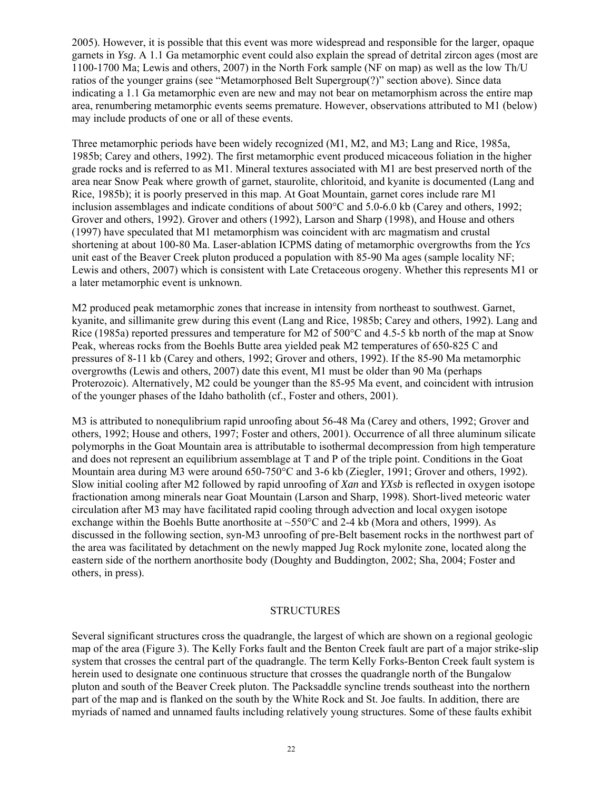2005). However, it is possible that this event was more widespread and responsible for the larger, opaque garnets in *Ysg*. A 1.1 Ga metamorphic event could also explain the spread of detrital zircon ages (most are 1100-1700 Ma; Lewis and others, 2007) in the North Fork sample (NF on map) as well as the low Th/U ratios of the younger grains (see "Metamorphosed Belt Supergroup(?)" section above). Since data indicating a 1.1 Ga metamorphic even are new and may not bear on metamorphism across the entire map area, renumbering metamorphic events seems premature. However, observations attributed to M1 (below) may include products of one or all of these events.

Three metamorphic periods have been widely recognized (M1, M2, and M3; Lang and Rice, 1985a, 1985b; Carey and others, 1992). The first metamorphic event produced micaceous foliation in the higher grade rocks and is referred to as M1. Mineral textures associated with M1 are best preserved north of the area near Snow Peak where growth of garnet, staurolite, chloritoid, and kyanite is documented (Lang and Rice, 1985b); it is poorly preserved in this map. At Goat Mountain, garnet cores include rare M1 inclusion assemblages and indicate conditions of about 500°C and 5.0-6.0 kb (Carey and others, 1992; Grover and others, 1992). Grover and others (1992), Larson and Sharp (1998), and House and others (1997) have speculated that M1 metamorphism was coincident with arc magmatism and crustal shortening at about 100-80 Ma. Laser-ablation ICPMS dating of metamorphic overgrowths from the *Ycs* unit east of the Beaver Creek pluton produced a population with 85-90 Ma ages (sample locality NF; Lewis and others, 2007) which is consistent with Late Cretaceous orogeny. Whether this represents M1 or a later metamorphic event is unknown.

M2 produced peak metamorphic zones that increase in intensity from northeast to southwest. Garnet, kyanite, and sillimanite grew during this event (Lang and Rice, 1985b; Carey and others, 1992). Lang and Rice (1985a) reported pressures and temperature for M2 of 500 °C and 4.5-5 kb north of the map at Snow Peak, whereas rocks from the Boehls Butte area yielded peak M2 temperatures of 650-825 C and pressures of 8-11 kb (Carey and others, 1992; Grover and others, 1992). If the 85-90 Ma metamorphic overgrowths (Lewis and others, 2007) date this event, M1 must be older than 90 Ma (perhaps Proterozoic). Alternatively, M2 could be younger than the 85-95 Ma event, and coincident with intrusion of the younger phases of the Idaho batholith (cf., Foster and others, 2001).

M3 is attributed to nonequlibrium rapid unroofing about 56-48 Ma (Carey and others, 1992; Grover and others, 1992; House and others, 1997; Foster and others, 2001). Occurrence of all three aluminum silicate polymorphs in the Goat Mountain area is attributable to isothermal decompression from high temperature and does not represent an equilibrium assemblage at T and P of the triple point. Conditions in the Goat Mountain area during M3 were around 650-750°C and 3-6 kb (Ziegler, 1991; Grover and others, 1992). Slow initial cooling after M2 followed by rapid unroofing of *Xan* and *YXsb* is reflected in oxygen isotope fractionation among minerals near Goat Mountain (Larson and Sharp, 1998). Short-lived meteoric water circulation after M3 may have facilitated rapid cooling through advection and local oxygen isotope exchange within the Boehls Butte anorthosite at  $\sim$ 550 $\degree$ C and 2-4 kb (Mora and others, 1999). As discussed in the following section, syn-M3 unroofing of pre-Belt basement rocks in the northwest part of the area was facilitated by detachment on the newly mapped Jug Rock mylonite zone, located along the eastern side of the northern anorthosite body (Doughty and Buddington, 2002; Sha, 2004; Foster and others, in press).

# **STRUCTURES**

Several significant structures cross the quadrangle, the largest of which are shown on a regional geologic map of the area (Figure 3). The Kelly Forks fault and the Benton Creek fault are part of a major strike-slip system that crosses the central part of the quadrangle. The term Kelly Forks-Benton Creek fault system is herein used to designate one continuous structure that crosses the quadrangle north of the Bungalow pluton and south of the Beaver Creek pluton. The Packsaddle syncline trends southeast into the northern part of the map and is flanked on the south by the White Rock and St. Joe faults. In addition, there are myriads of named and unnamed faults including relatively young structures. Some of these faults exhibit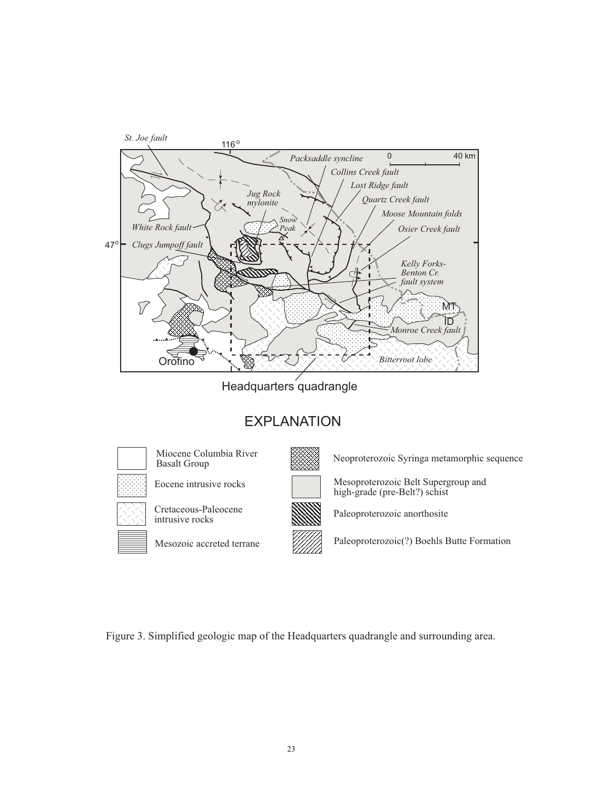

Headquarters quadrangle

# **EXPLANATION**



Miocene Columbia River **Basalt Group** 

Eocene intrusive rocks



Mesozoic accreted terrane

Neoproterozoic Syringa metamorphic sequence

Mesoproterozoic Belt Supergroup and high-grade (pre-Belt?) schist

Paleoproterozoic anorthosite

Paleoproterozoic(?) Boehls Butte Formation

Figure 3. Simplified geologic map of the Headquarters quadrangle and surrounding area.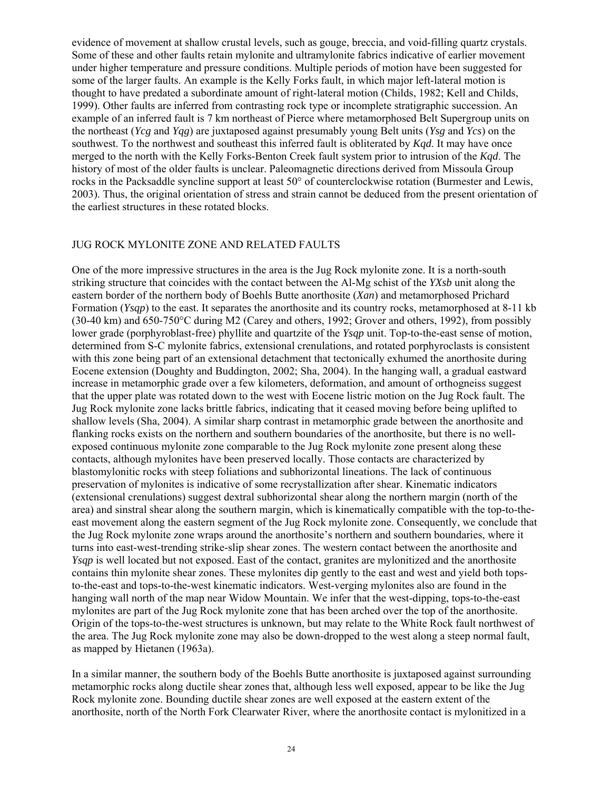evidence of movement at shallow crustal levels, such as gouge, breccia, and void-filling quartz crystals. Some of these and other faults retain mylonite and ultramylonite fabrics indicative of earlier movement under higher temperature and pressure conditions. Multiple periods of motion have been suggested for some of the larger faults. An example is the Kelly Forks fault, in which major left-lateral motion is thought to have predated a subordinate amount of right-lateral motion (Childs, 1982; Kell and Childs, 1999). Other faults are inferred from contrasting rock type or incomplete stratigraphic succession. An example of an inferred fault is 7 km northeast of Pierce where metamorphosed Belt Supergroup units on the northeast (*Ycg* and *Yqg*) are juxtaposed against presumably young Belt units (*Ysg* and *Ycs*) on the southwest. To the northwest and southeast this inferred fault is obliterated by *Kqd*. It may have once merged to the north with the Kelly Forks-Benton Creek fault system prior to intrusion of the *Kqd*. The history of most of the older faults is unclear. Paleomagnetic directions derived from Missoula Group rocks in the Packsaddle syncline support at least 50° of counterclockwise rotation (Burmester and Lewis, 2003). Thus, the original orientation of stress and strain cannot be deduced from the present orientation of the earliest structures in these rotated blocks.

#### JUG ROCK MYLONITE ZONE AND RELATED FAULTS

One of the more impressive structures in the area is the Jug Rock mylonite zone. It is a north-south striking structure that coincides with the contact between the Al-Mg schist of the *YXsb* unit along the eastern border of the northern body of Boehls Butte anorthosite (*Xan*) and metamorphosed Prichard Formation (*Ysqp*) to the east. It separates the anorthosite and its country rocks, metamorphosed at 8-11 kb (30-40 km) and 650-750°C during M2 (Carey and others, 1992; Grover and others, 1992), from possibly lower grade (porphyroblast-free) phyllite and quartzite of the *Ysqp* unit. Top-to-the-east sense of motion, determined from S-C mylonite fabrics, extensional crenulations, and rotated porphyroclasts is consistent with this zone being part of an extensional detachment that tectonically exhumed the anorthosite during Eocene extension (Doughty and Buddington, 2002; Sha, 2004). In the hanging wall, a gradual eastward increase in metamorphic grade over a few kilometers, deformation, and amount of orthogneiss suggest that the upper plate was rotated down to the west with Eocene listric motion on the Jug Rock fault. The Jug Rock mylonite zone lacks brittle fabrics, indicating that it ceased moving before being uplifted to shallow levels (Sha, 2004). A similar sharp contrast in metamorphic grade between the anorthosite and flanking rocks exists on the northern and southern boundaries of the anorthosite, but there is no wellexposed continuous mylonite zone comparable to the Jug Rock mylonite zone present along these contacts, although mylonites have been preserved locally. Those contacts are characterized by blastomylonitic rocks with steep foliations and subhorizontal lineations. The lack of continuous preservation of mylonites is indicative of some recrystallization after shear. Kinematic indicators (extensional crenulations) suggest dextral subhorizontal shear along the northern margin (north of the area) and sinstral shear along the southern margin, which is kinematically compatible with the top-to-theeast movement along the eastern segment of the Jug Rock mylonite zone. Consequently, we conclude that the Jug Rock mylonite zone wraps around the anorthosite's northern and southern boundaries, where it turns into east-west-trending strike-slip shear zones. The western contact between the anorthosite and *Ysqp* is well located but not exposed. East of the contact, granites are mylonitized and the anorthosite contains thin mylonite shear zones. These mylonites dip gently to the east and west and yield both topsto-the-east and tops-to-the-west kinematic indicators. West-verging mylonites also are found in the hanging wall north of the map near Widow Mountain. We infer that the west-dipping, tops-to-the-east mylonites are part of the Jug Rock mylonite zone that has been arched over the top of the anorthosite. Origin of the tops-to-the-west structures is unknown, but may relate to the White Rock fault northwest of the area. The Jug Rock mylonite zone may also be down-dropped to the west along a steep normal fault, as mapped by Hietanen (1963a).

In a similar manner, the southern body of the Boehls Butte anorthosite is juxtaposed against surrounding metamorphic rocks along ductile shear zones that, although less well exposed, appear to be like the Jug Rock mylonite zone. Bounding ductile shear zones are well exposed at the eastern extent of the anorthosite, north of the North Fork Clearwater River, where the anorthosite contact is mylonitized in a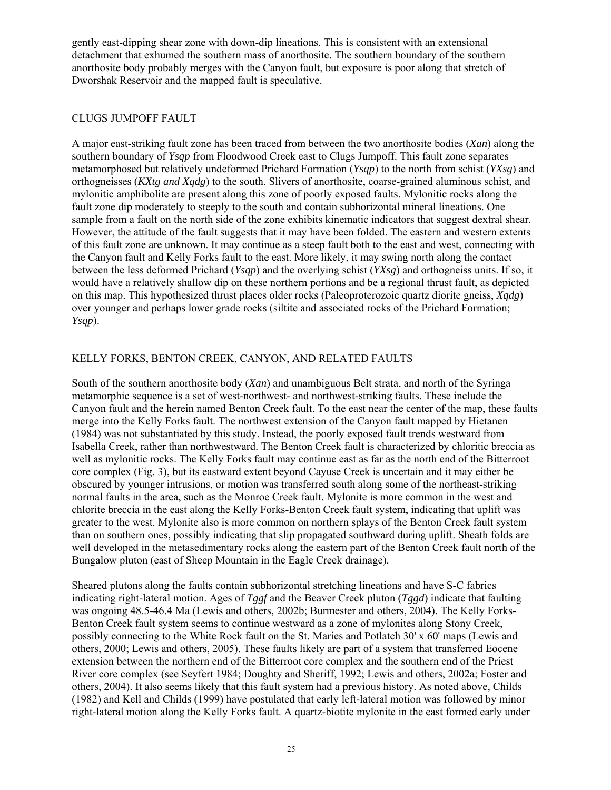gently east-dipping shear zone with down-dip lineations. This is consistent with an extensional detachment that exhumed the southern mass of anorthosite. The southern boundary of the southern anorthosite body probably merges with the Canyon fault, but exposure is poor along that stretch of Dworshak Reservoir and the mapped fault is speculative.

# CLUGS JUMPOFF FAULT

A major east-striking fault zone has been traced from between the two anorthosite bodies (*Xan*) along the southern boundary of *Ysqp* from Floodwood Creek east to Clugs Jumpoff. This fault zone separates metamorphosed but relatively undeformed Prichard Formation (*Ysqp*) to the north from schist (*YXsg*) and orthogneisses (*KXtg and Xqdg*) to the south. Slivers of anorthosite, coarse-grained aluminous schist, and mylonitic amphibolite are present along this zone of poorly exposed faults. Mylonitic rocks along the fault zone dip moderately to steeply to the south and contain subhorizontal mineral lineations. One sample from a fault on the north side of the zone exhibits kinematic indicators that suggest dextral shear. However, the attitude of the fault suggests that it may have been folded. The eastern and western extents of this fault zone are unknown. It may continue as a steep fault both to the east and west, connecting with the Canyon fault and Kelly Forks fault to the east. More likely, it may swing north along the contact between the less deformed Prichard (*Ysqp*) and the overlying schist (*YXsg*) and orthogneiss units. If so, it would have a relatively shallow dip on these northern portions and be a regional thrust fault, as depicted on this map. This hypothesized thrust places older rocks (Paleoproterozoic quartz diorite gneiss, *Xqdg*) over younger and perhaps lower grade rocks (siltite and associated rocks of the Prichard Formation; *Ysqp*).

# KELLY FORKS, BENTON CREEK, CANYON, AND RELATED FAULTS

South of the southern anorthosite body (*Xan*) and unambiguous Belt strata, and north of the Syringa metamorphic sequence is a set of west-northwest- and northwest-striking faults. These include the Canyon fault and the herein named Benton Creek fault. To the east near the center of the map, these faults merge into the Kelly Forks fault. The northwest extension of the Canyon fault mapped by Hietanen (1984) was not substantiated by this study. Instead, the poorly exposed fault trends westward from Isabella Creek, rather than northwestward. The Benton Creek fault is characterized by chloritic breccia as well as mylonitic rocks. The Kelly Forks fault may continue east as far as the north end of the Bitterroot core complex (Fig. 3), but its eastward extent beyond Cayuse Creek is uncertain and it may either be obscured by younger intrusions, or motion was transferred south along some of the northeast-striking normal faults in the area, such as the Monroe Creek fault. Mylonite is more common in the west and chlorite breccia in the east along the Kelly Forks-Benton Creek fault system, indicating that uplift was greater to the west. Mylonite also is more common on northern splays of the Benton Creek fault system than on southern ones, possibly indicating that slip propagated southward during uplift. Sheath folds are well developed in the metasedimentary rocks along the eastern part of the Benton Creek fault north of the Bungalow pluton (east of Sheep Mountain in the Eagle Creek drainage).

Sheared plutons along the faults contain subhorizontal stretching lineations and have S-C fabrics indicating right-lateral motion. Ages of *Tggf* and the Beaver Creek pluton (*Tggd*) indicate that faulting was ongoing 48.5-46.4 Ma (Lewis and others, 2002b; Burmester and others, 2004). The Kelly Forks-Benton Creek fault system seems to continue westward as a zone of mylonites along Stony Creek, possibly connecting to the White Rock fault on the St. Maries and Potlatch 30' x 60' maps (Lewis and others, 2000; Lewis and others, 2005). These faults likely are part of a system that transferred Eocene extension between the northern end of the Bitterroot core complex and the southern end of the Priest River core complex (see Seyfert 1984; Doughty and Sheriff, 1992; Lewis and others, 2002a; Foster and others, 2004). It also seems likely that this fault system had a previous history. As noted above, Childs (1982) and Kell and Childs (1999) have postulated that early left-lateral motion was followed by minor right-lateral motion along the Kelly Forks fault. A quartz-biotite mylonite in the east formed early under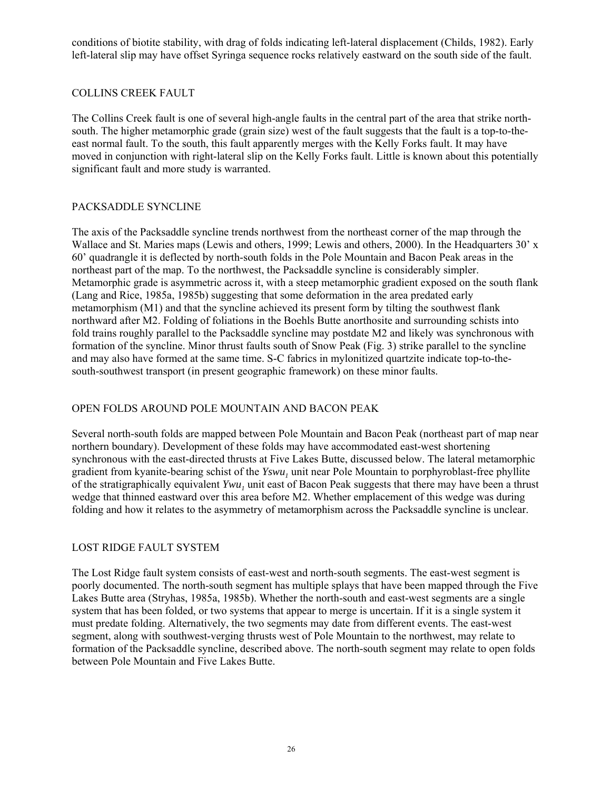conditions of biotite stability, with drag of folds indicating left-lateral displacement (Childs, 1982). Early left-lateral slip may have offset Syringa sequence rocks relatively eastward on the south side of the fault.

# COLLINS CREEK FAULT

The Collins Creek fault is one of several high-angle faults in the central part of the area that strike northsouth. The higher metamorphic grade (grain size) west of the fault suggests that the fault is a top-to-theeast normal fault. To the south, this fault apparently merges with the Kelly Forks fault. It may have moved in conjunction with right-lateral slip on the Kelly Forks fault. Little is known about this potentially significant fault and more study is warranted.

# PACKSADDLE SYNCLINE

The axis of the Packsaddle syncline trends northwest from the northeast corner of the map through the Wallace and St. Maries maps (Lewis and others, 1999; Lewis and others, 2000). In the Headquarters 30' x 60' quadrangle it is deflected by north-south folds in the Pole Mountain and Bacon Peak areas in the northeast part of the map. To the northwest, the Packsaddle syncline is considerably simpler. Metamorphic grade is asymmetric across it, with a steep metamorphic gradient exposed on the south flank (Lang and Rice, 1985a, 1985b) suggesting that some deformation in the area predated early metamorphism (M1) and that the syncline achieved its present form by tilting the southwest flank northward after M2. Folding of foliations in the Boehls Butte anorthosite and surrounding schists into fold trains roughly parallel to the Packsaddle syncline may postdate M2 and likely was synchronous with formation of the syncline. Minor thrust faults south of Snow Peak (Fig. 3) strike parallel to the syncline and may also have formed at the same time. S-C fabrics in mylonitized quartzite indicate top-to-thesouth-southwest transport (in present geographic framework) on these minor faults.

# OPEN FOLDS AROUND POLE MOUNTAIN AND BACON PEAK

Several north-south folds are mapped between Pole Mountain and Bacon Peak (northeast part of map near northern boundary). Development of these folds may have accommodated east-west shortening synchronous with the east-directed thrusts at Five Lakes Butte, discussed below. The lateral metamorphic gradient from kyanite-bearing schist of the  $Yswu_1$  unit near Pole Mountain to porphyroblast-free phyllite of the stratigraphically equivalent *Ywu*, unit east of Bacon Peak suggests that there may have been a thrust wedge that thinned eastward over this area before M2. Whether emplacement of this wedge was during folding and how it relates to the asymmetry of metamorphism across the Packsaddle syncline is unclear.

# LOST RIDGE FAULT SYSTEM

The Lost Ridge fault system consists of east-west and north-south segments. The east-west segment is poorly documented. The north-south segment has multiple splays that have been mapped through the Five Lakes Butte area (Stryhas, 1985a, 1985b). Whether the north-south and east-west segments are a single system that has been folded, or two systems that appear to merge is uncertain. If it is a single system it must predate folding. Alternatively, the two segments may date from different events. The east-west segment, along with southwest-verging thrusts west of Pole Mountain to the northwest, may relate to formation of the Packsaddle syncline, described above. The north-south segment may relate to open folds between Pole Mountain and Five Lakes Butte.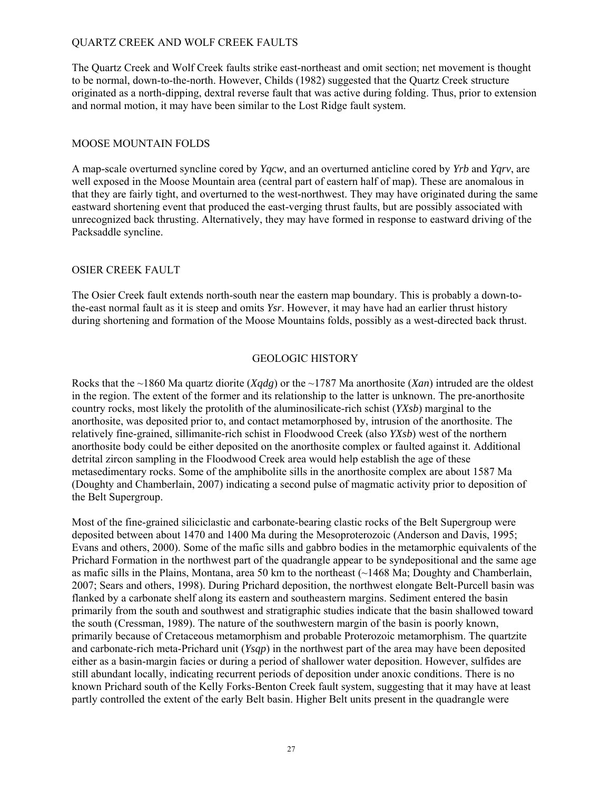# QUARTZ CREEK AND WOLF CREEK FAULTS

The Quartz Creek and Wolf Creek faults strike east-northeast and omit section; net movement is thought to be normal, down-to-the-north. However, Childs (1982) suggested that the Quartz Creek structure originated as a north-dipping, dextral reverse fault that was active during folding. Thus, prior to extension and normal motion, it may have been similar to the Lost Ridge fault system.

### MOOSE MOUNTAIN FOLDS

A map-scale overturned syncline cored by *Yqcw*, and an overturned anticline cored by *Yrb* and *Yqrv*, are well exposed in the Moose Mountain area (central part of eastern half of map). These are anomalous in that they are fairly tight, and overturned to the west-northwest. They may have originated during the same eastward shortening event that produced the east-verging thrust faults, but are possibly associated with unrecognized back thrusting. Alternatively, they may have formed in response to eastward driving of the Packsaddle syncline.

#### OSIER CREEK FAULT

The Osier Creek fault extends north-south near the eastern map boundary. This is probably a down-tothe-east normal fault as it is steep and omits *Ysr*. However, it may have had an earlier thrust history during shortening and formation of the Moose Mountains folds, possibly as a west-directed back thrust.

#### GEOLOGIC HISTORY

Rocks that the ~1860 Ma quartz diorite (*Xqdg*) or the ~1787 Ma anorthosite (*Xan*) intruded are the oldest in the region. The extent of the former and its relationship to the latter is unknown. The pre-anorthosite country rocks, most likely the protolith of the aluminosilicate-rich schist (*YXsb*) marginal to the anorthosite, was deposited prior to, and contact metamorphosed by, intrusion of the anorthosite. The relatively fine-grained, sillimanite-rich schist in Floodwood Creek (also *YXsb*) west of the northern anorthosite body could be either deposited on the anorthosite complex or faulted against it. Additional detrital zircon sampling in the Floodwood Creek area would help establish the age of these metasedimentary rocks. Some of the amphibolite sills in the anorthosite complex are about 1587 Ma (Doughty and Chamberlain, 2007) indicating a second pulse of magmatic activity prior to deposition of the Belt Supergroup.

Most of the fine-grained siliciclastic and carbonate-bearing clastic rocks of the Belt Supergroup were deposited between about 1470 and 1400 Ma during the Mesoproterozoic (Anderson and Davis, 1995; Evans and others, 2000). Some of the mafic sills and gabbro bodies in the metamorphic equivalents of the Prichard Formation in the northwest part of the quadrangle appear to be syndepositional and the same age as mafic sills in the Plains, Montana, area 50 km to the northeast (~1468 Ma; Doughty and Chamberlain, 2007; Sears and others, 1998). During Prichard deposition, the northwest elongate Belt-Purcell basin was flanked by a carbonate shelf along its eastern and southeastern margins. Sediment entered the basin primarily from the south and southwest and stratigraphic studies indicate that the basin shallowed toward the south (Cressman, 1989). The nature of the southwestern margin of the basin is poorly known, primarily because of Cretaceous metamorphism and probable Proterozoic metamorphism. The quartzite and carbonate-rich meta-Prichard unit (*Ysqp*) in the northwest part of the area may have been deposited either as a basin-margin facies or during a period of shallower water deposition. However, sulfides are still abundant locally, indicating recurrent periods of deposition under anoxic conditions. There is no known Prichard south of the Kelly Forks-Benton Creek fault system, suggesting that it may have at least partly controlled the extent of the early Belt basin. Higher Belt units present in the quadrangle were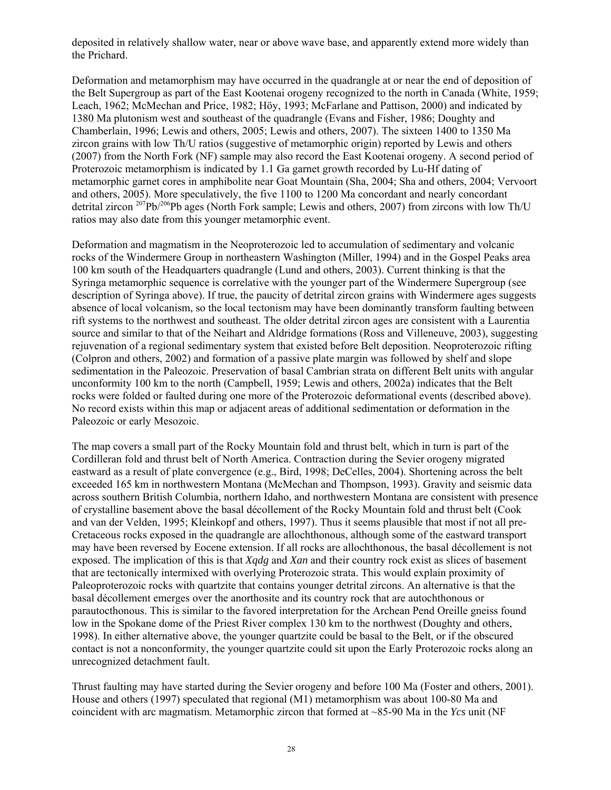deposited in relatively shallow water, near or above wave base, and apparently extend more widely than the Prichard.

Deformation and metamorphism may have occurred in the quadrangle at or near the end of deposition of the Belt Supergroup as part of the East Kootenai orogeny recognized to the north in Canada (White, 1959; Leach, 1962; McMechan and Price, 1982; Höy, 1993; McFarlane and Pattison, 2000) and indicated by 1380 Ma plutonism west and southeast of the quadrangle (Evans and Fisher, 1986; Doughty and Chamberlain, 1996; Lewis and others, 2005; Lewis and others, 2007). The sixteen 1400 to 1350 Ma zircon grains with low Th/U ratios (suggestive of metamorphic origin) reported by Lewis and others (2007) from the North Fork (NF) sample may also record the East Kootenai orogeny. A second period of Proterozoic metamorphism is indicated by 1.1 Ga garnet growth recorded by Lu-Hf dating of metamorphic garnet cores in amphibolite near Goat Mountain (Sha, 2004; Sha and others, 2004; Vervoort and others, 2005). More speculatively, the five 1100 to 1200 Ma concordant and nearly concordant detrital zircon 207Pb/206Pb ages (North Fork sample; Lewis and others, 2007) from zircons with low Th/U ratios may also date from this younger metamorphic event.

Deformation and magmatism in the Neoproterozoic led to accumulation of sedimentary and volcanic rocks of the Windermere Group in northeastern Washington (Miller, 1994) and in the Gospel Peaks area 100 km south of the Headquarters quadrangle (Lund and others, 2003). Current thinking is that the Syringa metamorphic sequence is correlative with the younger part of the Windermere Supergroup (see description of Syringa above). If true, the paucity of detrital zircon grains with Windermere ages suggests absence of local volcanism, so the local tectonism may have been dominantly transform faulting between rift systems to the northwest and southeast. The older detrital zircon ages are consistent with a Laurentia source and similar to that of the Neihart and Aldridge formations (Ross and Villeneuve, 2003), suggesting rejuvenation of a regional sedimentary system that existed before Belt deposition. Neoproterozoic rifting (Colpron and others, 2002) and formation of a passive plate margin was followed by shelf and slope sedimentation in the Paleozoic. Preservation of basal Cambrian strata on different Belt units with angular unconformity 100 km to the north (Campbell, 1959; Lewis and others, 2002a) indicates that the Belt rocks were folded or faulted during one more of the Proterozoic deformational events (described above). No record exists within this map or adjacent areas of additional sedimentation or deformation in the Paleozoic or early Mesozoic.

The map covers a small part of the Rocky Mountain fold and thrust belt, which in turn is part of the Cordilleran fold and thrust belt of North America. Contraction during the Sevier orogeny migrated eastward as a result of plate convergence (e.g., Bird, 1998; DeCelles, 2004). Shortening across the belt exceeded 165 km in northwestern Montana (McMechan and Thompson, 1993). Gravity and seismic data across southern British Columbia, northern Idaho, and northwestern Montana are consistent with presence of crystalline basement above the basal décollement of the Rocky Mountain fold and thrust belt (Cook and van der Velden, 1995; Kleinkopf and others, 1997). Thus it seems plausible that most if not all pre-Cretaceous rocks exposed in the quadrangle are allochthonous, although some of the eastward transport may have been reversed by Eocene extension. If all rocks are allochthonous, the basal décollement is not exposed. The implication of this is that *Xqdg* and *Xan* and their country rock exist as slices of basement that are tectonically intermixed with overlying Proterozoic strata. This would explain proximity of Paleoproterozoic rocks with quartzite that contains younger detrital zircons. An alternative is that the basal décollement emerges over the anorthosite and its country rock that are autochthonous or parautocthonous. This is similar to the favored interpretation for the Archean Pend Oreille gneiss found low in the Spokane dome of the Priest River complex 130 km to the northwest (Doughty and others, 1998). In either alternative above, the younger quartzite could be basal to the Belt, or if the obscured contact is not a nonconformity, the younger quartzite could sit upon the Early Proterozoic rocks along an unrecognized detachment fault.

Thrust faulting may have started during the Sevier orogeny and before 100 Ma (Foster and others, 2001). House and others (1997) speculated that regional (M1) metamorphism was about 100-80 Ma and coincident with arc magmatism. Metamorphic zircon that formed at ~85-90 Ma in the *Ycs* unit (NF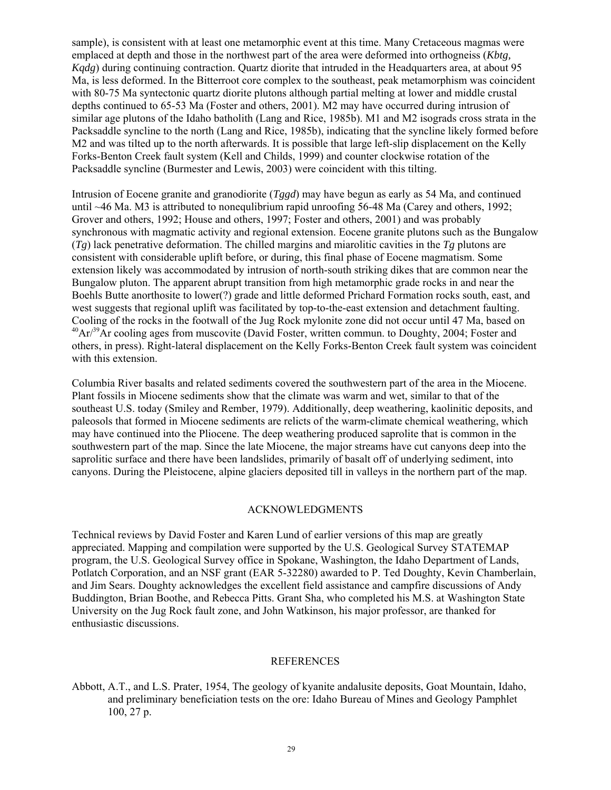sample), is consistent with at least one metamorphic event at this time. Many Cretaceous magmas were emplaced at depth and those in the northwest part of the area were deformed into orthogneiss (*Kbtg, Kqdg*) during continuing contraction. Quartz diorite that intruded in the Headquarters area, at about 95 Ma, is less deformed. In the Bitterroot core complex to the southeast, peak metamorphism was coincident with 80-75 Ma syntectonic quartz diorite plutons although partial melting at lower and middle crustal depths continued to 65-53 Ma (Foster and others, 2001). M2 may have occurred during intrusion of similar age plutons of the Idaho batholith (Lang and Rice, 1985b). M1 and M2 isograds cross strata in the Packsaddle syncline to the north (Lang and Rice, 1985b), indicating that the syncline likely formed before M2 and was tilted up to the north afterwards. It is possible that large left-slip displacement on the Kelly Forks-Benton Creek fault system (Kell and Childs, 1999) and counter clockwise rotation of the Packsaddle syncline (Burmester and Lewis, 2003) were coincident with this tilting.

Intrusion of Eocene granite and granodiorite (*Tggd*) may have begun as early as 54 Ma, and continued until ~46 Ma. M3 is attributed to nonequlibrium rapid unroofing 56-48 Ma (Carey and others, 1992; Grover and others, 1992; House and others, 1997; Foster and others, 2001) and was probably synchronous with magmatic activity and regional extension. Eocene granite plutons such as the Bungalow (*Tg*) lack penetrative deformation. The chilled margins and miarolitic cavities in the *Tg* plutons are consistent with considerable uplift before, or during, this final phase of Eocene magmatism. Some extension likely was accommodated by intrusion of north-south striking dikes that are common near the Bungalow pluton. The apparent abrupt transition from high metamorphic grade rocks in and near the Boehls Butte anorthosite to lower(?) grade and little deformed Prichard Formation rocks south, east, and west suggests that regional uplift was facilitated by top-to-the-east extension and detachment faulting. Cooling of the rocks in the footwall of the Jug Rock mylonite zone did not occur until 47 Ma, based on  $^{40}Ar/^{39}Ar$  cooling ages from muscovite (David Foster, written commun. to Doughty, 2004; Foster and others, in press). Right-lateral displacement on the Kelly Forks-Benton Creek fault system was coincident with this extension.

Columbia River basalts and related sediments covered the southwestern part of the area in the Miocene. Plant fossils in Miocene sediments show that the climate was warm and wet, similar to that of the southeast U.S. today (Smiley and Rember, 1979). Additionally, deep weathering, kaolinitic deposits, and paleosols that formed in Miocene sediments are relicts of the warm-climate chemical weathering, which may have continued into the Pliocene. The deep weathering produced saprolite that is common in the southwestern part of the map. Since the late Miocene, the major streams have cut canyons deep into the saprolitic surface and there have been landslides, primarily of basalt off of underlying sediment, into canyons. During the Pleistocene, alpine glaciers deposited till in valleys in the northern part of the map.

# ACKNOWLEDGMENTS

Technical reviews by David Foster and Karen Lund of earlier versions of this map are greatly appreciated. Mapping and compilation were supported by the U.S. Geological Survey STATEMAP program, the U.S. Geological Survey office in Spokane, Washington, the Idaho Department of Lands, Potlatch Corporation, and an NSF grant (EAR 5-32280) awarded to P. Ted Doughty, Kevin Chamberlain, and Jim Sears. Doughty acknowledges the excellent field assistance and campfire discussions of Andy Buddington, Brian Boothe, and Rebecca Pitts. Grant Sha, who completed his M.S. at Washington State University on the Jug Rock fault zone, and John Watkinson, his major professor, are thanked for enthusiastic discussions.

#### REFERENCES

Abbott, A.T., and L.S. Prater, 1954, The geology of kyanite andalusite deposits, Goat Mountain, Idaho, and preliminary beneficiation tests on the ore: Idaho Bureau of Mines and Geology Pamphlet 100, 27 p.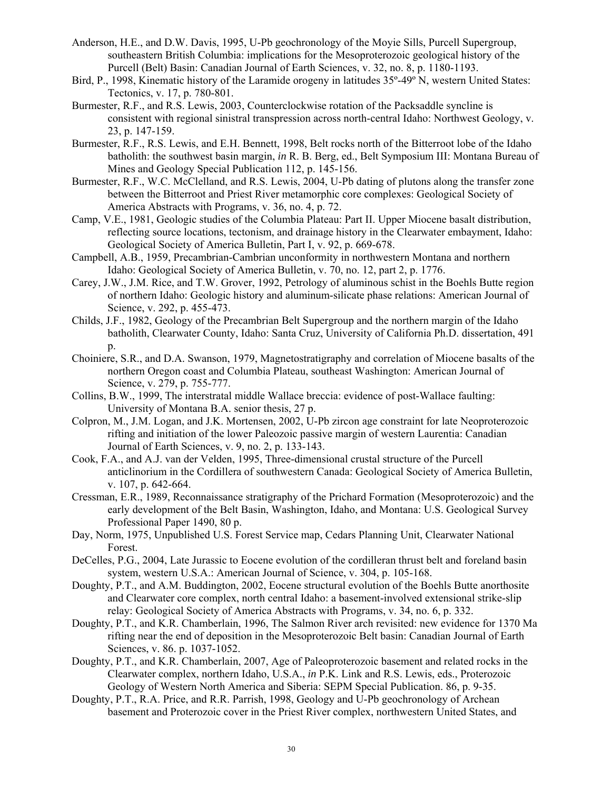- Anderson, H.E., and D.W. Davis, 1995, U-Pb geochronology of the Moyie Sills, Purcell Supergroup, southeastern British Columbia: implications for the Mesoproterozoic geological history of the Purcell (Belt) Basin: Canadian Journal of Earth Sciences, v. 32, no. 8, p. 1180-1193.
- Bird, P., 1998, Kinematic history of the Laramide orogeny in latitudes  $35^{\circ}$ -49° N, western United States: Tectonics, v. 17, p. 780-801.
- Burmester, R.F., and R.S. Lewis, 2003, Counterclockwise rotation of the Packsaddle syncline is consistent with regional sinistral transpression across north-central Idaho: Northwest Geology, v. 23, p. 147-159.
- Burmester, R.F., R.S. Lewis, and E.H. Bennett, 1998, Belt rocks north of the Bitterroot lobe of the Idaho batholith: the southwest basin margin, *in* R. B. Berg, ed., Belt Symposium III: Montana Bureau of Mines and Geology Special Publication 112, p. 145-156.
- Burmester, R.F., W.C. McClelland, and R.S. Lewis, 2004, U-Pb dating of plutons along the transfer zone between the Bitterroot and Priest River metamorphic core complexes: Geological Society of America Abstracts with Programs, v. 36, no. 4, p. 72.
- Camp, V.E., 1981, Geologic studies of the Columbia Plateau: Part II. Upper Miocene basalt distribution, reflecting source locations, tectonism, and drainage history in the Clearwater embayment, Idaho: Geological Society of America Bulletin, Part I, v. 92, p. 669-678.
- Campbell, A.B., 1959, Precambrian-Cambrian unconformity in northwestern Montana and northern Idaho: Geological Society of America Bulletin, v. 70, no. 12, part 2, p. 1776.
- Carey, J.W., J.M. Rice, and T.W. Grover, 1992, Petrology of aluminous schist in the Boehls Butte region of northern Idaho: Geologic history and aluminum-silicate phase relations: American Journal of Science, v. 292, p. 455-473.
- Childs, J.F., 1982, Geology of the Precambrian Belt Supergroup and the northern margin of the Idaho batholith, Clearwater County, Idaho: Santa Cruz, University of California Ph.D. dissertation, 491  $p_{\cdot}$
- Choiniere, S.R., and D.A. Swanson, 1979, Magnetostratigraphy and correlation of Miocene basalts of the northern Oregon coast and Columbia Plateau, southeast Washington: American Journal of Science, v. 279, p. 755-777.
- Collins, B.W., 1999, The interstratal middle Wallace breccia: evidence of post-Wallace faulting: University of Montana B.A. senior thesis, 27 p.
- Colpron, M., J.M. Logan, and J.K. Mortensen, 2002, U-Pb zircon age constraint for late Neoproterozoic rifting and initiation of the lower Paleozoic passive margin of western Laurentia: Canadian Journal of Earth Sciences, v. 9, no. 2, p. 133-143.
- Cook, F.A., and A.J. van der Velden, 1995, Three-dimensional crustal structure of the Purcell anticlinorium in the Cordillera of southwestern Canada: Geological Society of America Bulletin, v. 107, p. 642-664.
- Cressman, E.R., 1989, Reconnaissance stratigraphy of the Prichard Formation (Mesoproterozoic) and the early development of the Belt Basin, Washington, Idaho, and Montana: U.S. Geological Survey Professional Paper 1490, 80 p.
- Day, Norm, 1975, Unpublished U.S. Forest Service map, Cedars Planning Unit, Clearwater National Forest.
- DeCelles, P.G., 2004, Late Jurassic to Eocene evolution of the cordilleran thrust belt and foreland basin system, western U.S.A.: American Journal of Science, v. 304, p. 105-168.
- Doughty, P.T., and A.M. Buddington, 2002, Eocene structural evolution of the Boehls Butte anorthosite and Clearwater core complex, north central Idaho: a basement-involved extensional strike-slip relay: Geological Society of America Abstracts with Programs, v. 34, no. 6, p. 332.
- Doughty, P.T., and K.R. Chamberlain, 1996, The Salmon River arch revisited: new evidence for 1370 Ma rifting near the end of deposition in the Mesoproterozoic Belt basin: Canadian Journal of Earth Sciences, v. 86. p. 1037-1052.
- Doughty, P.T., and K.R. Chamberlain, 2007, Age of Paleoproterozoic basement and related rocks in the Clearwater complex, northern Idaho, U.S.A., *in* P.K. Link and R.S. Lewis, eds., Proterozoic Geology of Western North America and Siberia: SEPM Special Publication. 86, p. 9-35.
- Doughty, P.T., R.A. Price, and R.R. Parrish, 1998, Geology and U-Pb geochronology of Archean basement and Proterozoic cover in the Priest River complex, northwestern United States, and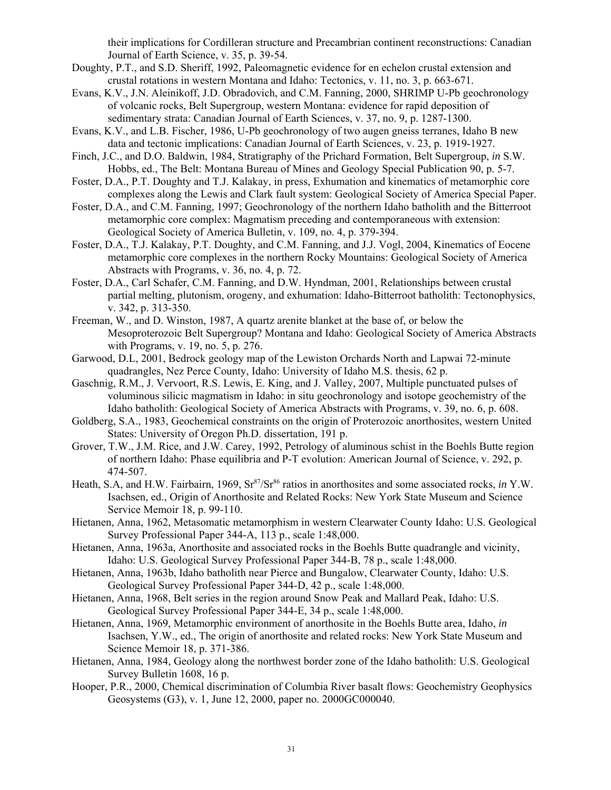their implications for Cordilleran structure and Precambrian continent reconstructions: Canadian Journal of Earth Science, v. 35, p. 39-54.

- Doughty, P.T., and S.D. Sheriff, 1992, Paleomagnetic evidence for en echelon crustal extension and crustal rotations in western Montana and Idaho: Tectonics, v. 11, no. 3, p. 663-671.
- Evans, K.V., J.N. Aleinikoff, J.D. Obradovich, and C.M. Fanning, 2000, SHRIMP U-Pb geochronology of volcanic rocks, Belt Supergroup, western Montana: evidence for rapid deposition of sedimentary strata: Canadian Journal of Earth Sciences, v. 37, no. 9, p. 1287-1300.
- Evans, K.V., and L.B. Fischer, 1986, U-Pb geochronology of two augen gneiss terranes, Idaho B new data and tectonic implications: Canadian Journal of Earth Sciences, v. 23, p. 1919-1927.
- Finch, J.C., and D.O. Baldwin, 1984, Stratigraphy of the Prichard Formation, Belt Supergroup, *in* S.W. Hobbs, ed., The Belt: Montana Bureau of Mines and Geology Special Publication 90, p. 5-7.
- Foster, D.A., P.T. Doughty and T.J. Kalakay, in press, Exhumation and kinematics of metamorphic core complexes along the Lewis and Clark fault system: Geological Society of America Special Paper.
- Foster, D.A., and C.M. Fanning, 1997; Geochronology of the northern Idaho batholith and the Bitterroot metamorphic core complex: Magmatism preceding and contemporaneous with extension: Geological Society of America Bulletin, v. 109, no. 4, p. 379-394.
- Foster, D.A., T.J. Kalakay, P.T. Doughty, and C.M. Fanning, and J.J. Vogl, 2004, Kinematics of Eocene metamorphic core complexes in the northern Rocky Mountains: Geological Society of America Abstracts with Programs, v. 36, no. 4, p. 72.
- Foster, D.A., Carl Schafer, C.M. Fanning, and D.W. Hyndman, 2001, Relationships between crustal partial melting, plutonism, orogeny, and exhumation: Idaho-Bitterroot batholith: Tectonophysics, v. 342, p. 313-350.
- Freeman, W., and D. Winston, 1987, A quartz arenite blanket at the base of, or below the Mesoproterozoic Belt Supergroup? Montana and Idaho: Geological Society of America Abstracts with Programs, v. 19, no. 5, p. 276.
- Garwood, D.L, 2001, Bedrock geology map of the Lewiston Orchards North and Lapwai 72-minute quadrangles, Nez Perce County, Idaho: University of Idaho M.S. thesis, 62 p.
- Gaschnig, R.M., J. Vervoort, R.S. Lewis, E. King, and J. Valley, 2007, Multiple punctuated pulses of voluminous silicic magmatism in Idaho: in situ geochronology and isotope geochemistry of the Idaho batholith: Geological Society of America Abstracts with Programs, v. 39, no. 6, p. 608.
- Goldberg, S.A., 1983, Geochemical constraints on the origin of Proterozoic anorthosites, western United States: University of Oregon Ph.D. dissertation, 191 p.
- Grover, T.W., J.M. Rice, and J.W. Carey, 1992, Petrology of aluminous schist in the Boehls Butte region of northern Idaho: Phase equilibria and P-T evolution: American Journal of Science, v. 292, p. 474-507.
- Heath, S.A. and H.W. Fairbairn, 1969, Sr<sup>87</sup>/Sr<sup>86</sup> ratios in anorthosites and some associated rocks, *in* Y.W. Isachsen, ed., Origin of Anorthosite and Related Rocks: New York State Museum and Science Service Memoir 18, p. 99-110.
- Hietanen, Anna, 1962, Metasomatic metamorphism in western Clearwater County Idaho: U.S. Geological Survey Professional Paper 344-A, 113 p., scale 1:48,000.
- Hietanen, Anna, 1963a, Anorthosite and associated rocks in the Boehls Butte quadrangle and vicinity, Idaho: U.S. Geological Survey Professional Paper 344-B, 78 p., scale 1:48,000.
- Hietanen, Anna, 1963b, Idaho batholith near Pierce and Bungalow, Clearwater County, Idaho: U.S. Geological Survey Professional Paper 344-D, 42 p., scale 1:48,000.
- Hietanen, Anna, 1968, Belt series in the region around Snow Peak and Mallard Peak, Idaho: U.S. Geological Survey Professional Paper 344-E, 34 p., scale 1:48,000.
- Hietanen, Anna, 1969, Metamorphic environment of anorthosite in the Boehls Butte area, Idaho, *in* Isachsen, Y.W., ed., The origin of anorthosite and related rocks: New York State Museum and Science Memoir 18, p. 371-386.
- Hietanen, Anna, 1984, Geology along the northwest border zone of the Idaho batholith: U.S. Geological Survey Bulletin 1608, 16 p.
- Hooper, P.R., 2000, Chemical discrimination of Columbia River basalt flows: Geochemistry Geophysics Geosystems (G3), v. 1, June 12, 2000, paper no. 2000GC000040.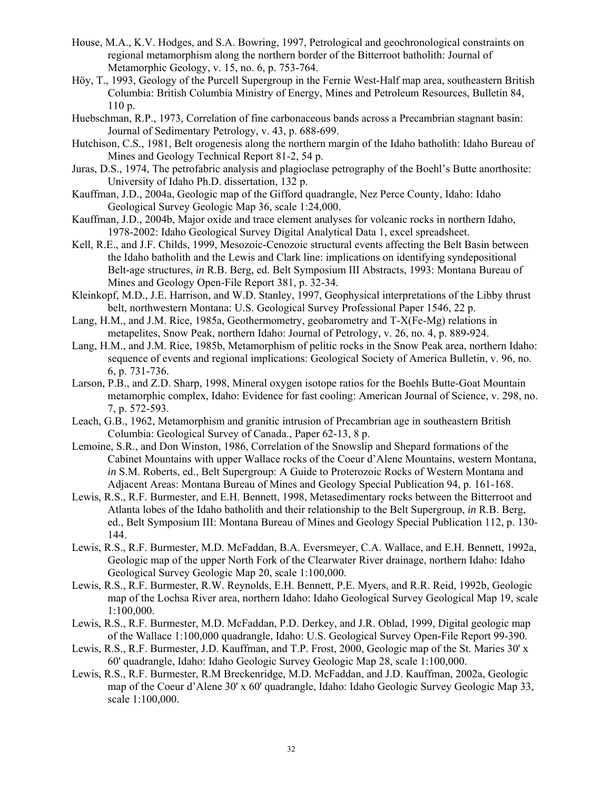- House, M.A., K.V. Hodges, and S.A. Bowring, 1997, Petrological and geochronological constraints on regional metamorphism along the northern border of the Bitterroot batholith: Journal of Metamorphic Geology, v. 15, no. 6, p. 753-764.
- Höy, T., 1993, Geology of the Purcell Supergroup in the Fernie West-Half map area, southeastern British Columbia: British Columbia Ministry of Energy, Mines and Petroleum Resources, Bulletin 84, 110 p.
- Huebschman, R.P., 1973, Correlation of fine carbonaceous bands across a Precambrian stagnant basin: Journal of Sedimentary Petrology, v. 43, p. 688-699.
- Hutchison, C.S., 1981, Belt orogenesis along the northern margin of the Idaho batholith: Idaho Bureau of Mines and Geology Technical Report 81-2, 54 p.
- Juras, D.S., 1974, The petrofabric analysis and plagioclase petrography of the Boehl's Butte anorthosite: University of Idaho Ph.D. dissertation, 132 p.
- Kauffman, J.D., 2004a, Geologic map of the Gifford quadrangle, Nez Perce County, Idaho: Idaho Geological Survey Geologic Map 36, scale 1:24,000.
- Kauffman, J.D., 2004b, Major oxide and trace element analyses for volcanic rocks in northern Idaho, 1978-2002: Idaho Geological Survey Digital Analytical Data 1, excel spreadsheet.
- Kell, R.E., and J.F. Childs, 1999, Mesozoic-Cenozoic structural events affecting the Belt Basin between the Idaho batholith and the Lewis and Clark line: implications on identifying syndepositional Belt-age structures, *in* R.B. Berg, ed. Belt Symposium III Abstracts, 1993: Montana Bureau of Mines and Geology Open-File Report 381, p. 32-34.
- Kleinkopf, M.D., J.E. Harrison, and W.D. Stanley, 1997, Geophysical interpretations of the Libby thrust belt, northwestern Montana: U.S. Geological Survey Professional Paper 1546, 22 p.
- Lang, H.M., and J.M. Rice, 1985a, Geothermometry, geobarometry and T-X(Fe-Mg) relations in metapelites, Snow Peak, northern Idaho: Journal of Petrology, v. 26, no. 4, p. 889-924.
- Lang, H.M., and J.M. Rice, 1985b, Metamorphism of pelitic rocks in the Snow Peak area, northern Idaho: sequence of events and regional implications: Geological Society of America Bulletin, v. 96, no. 6, p. 731-736.
- Larson, P.B., and Z.D. Sharp, 1998, Mineral oxygen isotope ratios for the Boehls Butte-Goat Mountain metamorphic complex, Idaho: Evidence for fast cooling: American Journal of Science, v. 298, no. 7, p. 572-593.
- Leach, G.B., 1962, Metamorphism and granitic intrusion of Precambrian age in southeastern British Columbia: Geological Survey of Canada., Paper 62-13, 8 p.
- Lemoine, S.R., and Don Winston, 1986, Correlation of the Snowslip and Shepard formations of the Cabinet Mountains with upper Wallace rocks of the Coeur d'Alene Mountains, western Montana, *in* S.M. Roberts, ed., Belt Supergroup: A Guide to Proterozoic Rocks of Western Montana and Adjacent Areas: Montana Bureau of Mines and Geology Special Publication 94, p. 161-168.
- Lewis, R.S., R.F. Burmester, and E.H. Bennett, 1998, Metasedimentary rocks between the Bitterroot and Atlanta lobes of the Idaho batholith and their relationship to the Belt Supergroup, *in* R.B. Berg, ed., Belt Symposium III: Montana Bureau of Mines and Geology Special Publication 112, p. 130- 144.
- Lewis, R.S., R.F. Burmester, M.D. McFaddan, B.A. Eversmeyer, C.A. Wallace, and E.H. Bennett, 1992a, Geologic map of the upper North Fork of the Clearwater River drainage, northern Idaho: Idaho Geological Survey Geologic Map 20, scale 1:100,000.
- Lewis, R.S., R.F. Burmester, R.W. Reynolds, E.H. Bennett, P.E. Myers, and R.R. Reid, 1992b, Geologic map of the Lochsa River area, northern Idaho: Idaho Geological Survey Geological Map 19, scale 1:100,000.
- Lewis, R.S., R.F. Burmester, M.D. McFaddan, P.D. Derkey, and J.R. Oblad, 1999, Digital geologic map of the Wallace 1:100,000 quadrangle, Idaho: U.S. Geological Survey Open-File Report 99-390.
- Lewis, R.S., R.F. Burmester, J.D. Kauffman, and T.P. Frost, 2000, Geologic map of the St. Maries 30' x 60' quadrangle, Idaho: Idaho Geologic Survey Geologic Map 28, scale 1:100,000.
- Lewis, R.S., R.F. Burmester, R.M Breckenridge, M.D. McFaddan, and J.D. Kauffman, 2002a, Geologic map of the Coeur d'Alene 30' x 60' quadrangle, Idaho: Idaho Geologic Survey Geologic Map 33, scale 1:100,000.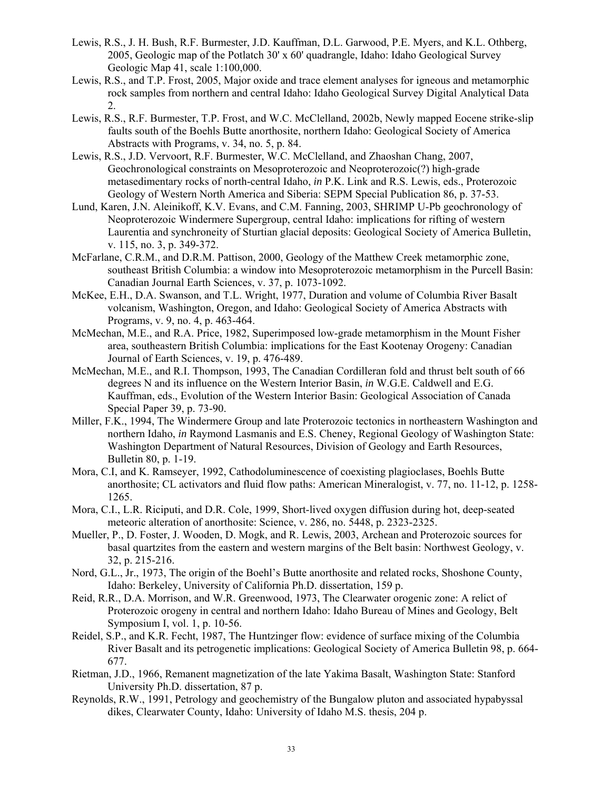- Lewis, R.S., J. H. Bush, R.F. Burmester, J.D. Kauffman, D.L. Garwood, P.E. Myers, and K.L. Othberg, 2005, Geologic map of the Potlatch 30' x 60' quadrangle, Idaho: Idaho Geological Survey Geologic Map 41, scale 1:100,000.
- Lewis, R.S., and T.P. Frost, 2005, Major oxide and trace element analyses for igneous and metamorphic rock samples from northern and central Idaho: Idaho Geological Survey Digital Analytical Data 2.
- Lewis, R.S., R.F. Burmester, T.P. Frost, and W.C. McClelland, 2002b, Newly mapped Eocene strike-slip faults south of the Boehls Butte anorthosite, northern Idaho: Geological Society of America Abstracts with Programs, v. 34, no. 5, p. 84.
- Lewis, R.S., J.D. Vervoort, R.F. Burmester, W.C. McClelland, and Zhaoshan Chang, 2007, Geochronological constraints on Mesoproterozoic and Neoproterozoic(?) high-grade metasedimentary rocks of north-central Idaho, *in* P.K. Link and R.S. Lewis, eds., Proterozoic Geology of Western North America and Siberia: SEPM Special Publication 86, p. 37-53.
- Lund, Karen, J.N. Aleinikoff, K.V. Evans, and C.M. Fanning, 2003, SHRIMP U-Pb geochronology of Neoproterozoic Windermere Supergroup, central Idaho: implications for rifting of western Laurentia and synchroneity of Sturtian glacial deposits: Geological Society of America Bulletin, v. 115, no. 3, p. 349-372.
- McFarlane, C.R.M., and D.R.M. Pattison, 2000, Geology of the Matthew Creek metamorphic zone, southeast British Columbia: a window into Mesoproterozoic metamorphism in the Purcell Basin: Canadian Journal Earth Sciences, v. 37, p. 1073-1092.
- McKee, E.H., D.A. Swanson, and T.L. Wright, 1977, Duration and volume of Columbia River Basalt volcanism, Washington, Oregon, and Idaho: Geological Society of America Abstracts with Programs, v. 9, no. 4, p. 463-464.
- McMechan, M.E., and R.A. Price, 1982, Superimposed low-grade metamorphism in the Mount Fisher area, southeastern British Columbia: implications for the East Kootenay Orogeny: Canadian Journal of Earth Sciences, v. 19, p. 476-489.
- McMechan, M.E., and R.I. Thompson, 1993, The Canadian Cordilleran fold and thrust belt south of 66 degrees N and its influence on the Western Interior Basin, *in* W.G.E. Caldwell and E.G. Kauffman, eds., Evolution of the Western Interior Basin: Geological Association of Canada Special Paper 39, p. 73-90.
- Miller, F.K., 1994, The Windermere Group and late Proterozoic tectonics in northeastern Washington and northern Idaho, *in* Raymond Lasmanis and E.S. Cheney, Regional Geology of Washington State: Washington Department of Natural Resources, Division of Geology and Earth Resources, Bulletin 80, p. 1-19.
- Mora, C.I, and K. Ramseyer, 1992, Cathodoluminescence of coexisting plagioclases, Boehls Butte anorthosite; CL activators and fluid flow paths: American Mineralogist, v. 77, no. 11-12, p. 1258- 1265.
- Mora, C.I., L.R. Riciputi, and D.R. Cole, 1999, Short-lived oxygen diffusion during hot, deep-seated meteoric alteration of anorthosite: Science, v. 286, no. 5448, p. 2323-2325.
- Mueller, P., D. Foster, J. Wooden, D. Mogk, and R. Lewis, 2003, Archean and Proterozoic sources for basal quartzites from the eastern and western margins of the Belt basin: Northwest Geology, v. 32, p. 215-216.
- Nord, G.L., Jr., 1973, The origin of the Boehl's Butte anorthosite and related rocks, Shoshone County, Idaho: Berkeley, University of California Ph.D. dissertation, 159 p.
- Reid, R.R., D.A. Morrison, and W.R. Greenwood, 1973, The Clearwater orogenic zone: A relict of Proterozoic orogeny in central and northern Idaho: Idaho Bureau of Mines and Geology, Belt Symposium I, vol. 1, p. 10-56.
- Reidel, S.P., and K.R. Fecht, 1987, The Huntzinger flow: evidence of surface mixing of the Columbia River Basalt and its petrogenetic implications: Geological Society of America Bulletin 98, p. 664- 677.
- Rietman, J.D., 1966, Remanent magnetization of the late Yakima Basalt, Washington State: Stanford University Ph.D. dissertation, 87 p.
- Reynolds, R.W., 1991, Petrology and geochemistry of the Bungalow pluton and associated hypabyssal dikes, Clearwater County, Idaho: University of Idaho M.S. thesis, 204 p.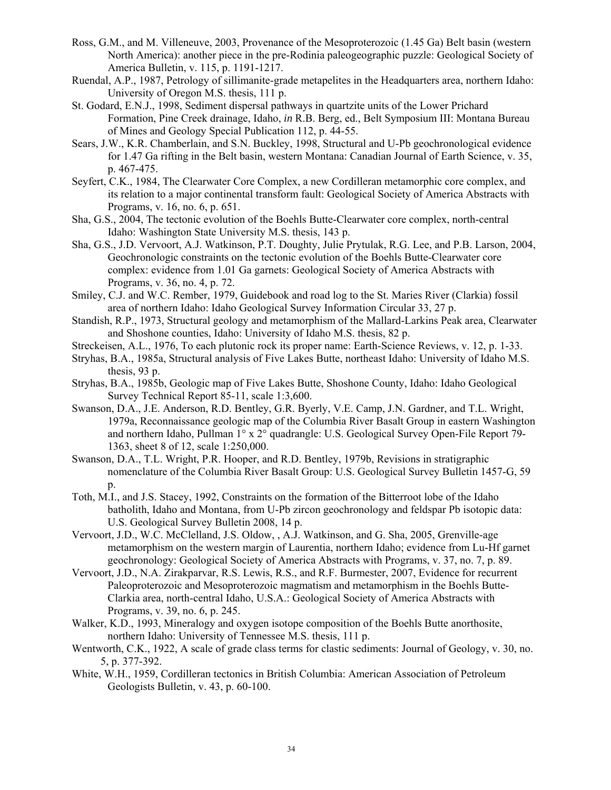- Ross, G.M., and M. Villeneuve, 2003, Provenance of the Mesoproterozoic (1.45 Ga) Belt basin (western North America): another piece in the pre-Rodinia paleogeographic puzzle: Geological Society of America Bulletin, v. 115, p. 1191-1217.
- Ruendal, A.P., 1987, Petrology of sillimanite-grade metapelites in the Headquarters area, northern Idaho: University of Oregon M.S. thesis, 111 p.
- St. Godard, E.N.J., 1998, Sediment dispersal pathways in quartzite units of the Lower Prichard Formation, Pine Creek drainage, Idaho, *in* R.B. Berg, ed., Belt Symposium III: Montana Bureau of Mines and Geology Special Publication 112, p. 44-55.
- Sears, J.W., K.R. Chamberlain, and S.N. Buckley, 1998, Structural and U-Pb geochronological evidence for 1.47 Ga rifting in the Belt basin, western Montana: Canadian Journal of Earth Science, v. 35, p. 467-475.
- Seyfert, C.K., 1984, The Clearwater Core Complex, a new Cordilleran metamorphic core complex, and its relation to a major continental transform fault: Geological Society of America Abstracts with Programs, v. 16, no. 6, p. 651.
- Sha, G.S., 2004, The tectonic evolution of the Boehls Butte-Clearwater core complex, north-central Idaho: Washington State University M.S. thesis, 143 p.
- Sha, G.S., J.D. Vervoort, A.J. Watkinson, P.T. Doughty, Julie Prytulak, R.G. Lee, and P.B. Larson, 2004, Geochronologic constraints on the tectonic evolution of the Boehls Butte-Clearwater core complex: evidence from 1.01 Ga garnets: Geological Society of America Abstracts with Programs, v. 36, no. 4, p. 72.
- Smiley, C.J. and W.C. Rember, 1979, Guidebook and road log to the St. Maries River (Clarkia) fossil area of northern Idaho: Idaho Geological Survey Information Circular 33, 27 p.
- Standish, R.P., 1973, Structural geology and metamorphism of the Mallard-Larkins Peak area, Clearwater and Shoshone counties, Idaho: University of Idaho M.S. thesis, 82 p.
- Streckeisen, A.L., 1976, To each plutonic rock its proper name: Earth-Science Reviews, v. 12, p. 1-33.
- Stryhas, B.A., 1985a, Structural analysis of Five Lakes Butte, northeast Idaho: University of Idaho M.S. thesis, 93 p.
- Stryhas, B.A., 1985b, Geologic map of Five Lakes Butte, Shoshone County, Idaho: Idaho Geological Survey Technical Report 85-11, scale 1:3,600.
- Swanson, D.A., J.E. Anderson, R.D. Bentley, G.R. Byerly, V.E. Camp, J.N. Gardner, and T.L. Wright, 1979a, Reconnaissance geologic map of the Columbia River Basalt Group in eastern Washington and northern Idaho, Pullman 1° x 2° quadrangle: U.S. Geological Survey Open-File Report 79- 1363, sheet 8 of 12, scale 1:250,000.
- Swanson, D.A., T.L. Wright, P.R. Hooper, and R.D. Bentley, 1979b, Revisions in stratigraphic nomenclature of the Columbia River Basalt Group: U.S. Geological Survey Bulletin 1457-G, 59  $p_{\cdot}$
- Toth, M.I., and J.S. Stacey, 1992, Constraints on the formation of the Bitterroot lobe of the Idaho batholith, Idaho and Montana, from U-Pb zircon geochronology and feldspar Pb isotopic data: U.S. Geological Survey Bulletin 2008, 14 p.
- Vervoort, J.D., W.C. McClelland, J.S. Oldow, , A.J. Watkinson, and G. Sha, 2005, Grenville-age metamorphism on the western margin of Laurentia, northern Idaho; evidence from Lu-Hf garnet geochronology: Geological Society of America Abstracts with Programs, v. 37, no. 7, p. 89.
- Vervoort, J.D., N.A. Zirakparvar, R.S. Lewis, R.S., and R.F. Burmester, 2007, Evidence for recurrent Paleoproterozoic and Mesoproterozoic magmatism and metamorphism in the Boehls Butte-Clarkia area, north-central Idaho, U.S.A.: Geological Society of America Abstracts with Programs, v. 39, no. 6, p. 245.
- Walker, K.D., 1993, Mineralogy and oxygen isotope composition of the Boehls Butte anorthosite, northern Idaho: University of Tennessee M.S. thesis, 111 p.
- Wentworth, C.K., 1922, A scale of grade class terms for clastic sediments: Journal of Geology, v. 30, no. 5, p. 377-392.
- White, W.H., 1959, Cordilleran tectonics in British Columbia: American Association of Petroleum Geologists Bulletin, v. 43, p. 60-100.